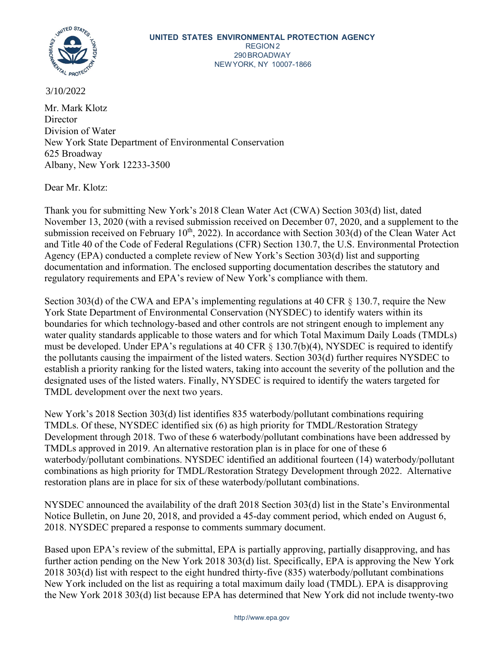

### 3/10/2022

Mr. Mark Klotz Director Division of Water New York State Department of Environmental Conservation 625 Broadway Albany, New York 12233-3500

Dear Mr. Klotz:

Thank you for submitting New York's 2018 Clean Water Act (CWA) Section 303(d) list, dated November 13, 2020 (with a revised submission received on December 07, 2020, and a supplement to the submission received on February  $10^{th}$ , 2022). In accordance with Section 303(d) of the Clean Water Act and Title 40 of the Code of Federal Regulations (CFR) Section 130.7, the U.S. Environmental Protection Agency (EPA) conducted a complete review of New York's Section 303(d) list and supporting documentation and information. The enclosed supporting documentation describes the statutory and regulatory requirements and EPA's review of New York's compliance with them.

Section 303(d) of the CWA and EPA's implementing regulations at 40 CFR § 130.7, require the New York State Department of Environmental Conservation (NYSDEC) to identify waters within its boundaries for which technology-based and other controls are not stringent enough to implement any water quality standards applicable to those waters and for which Total Maximum Daily Loads (TMDLs) must be developed. Under EPA's regulations at 40 CFR  $\S$  130.7(b)(4), NYSDEC is required to identify the pollutants causing the impairment of the listed waters. Section 303(d) further requires NYSDEC to establish a priority ranking for the listed waters, taking into account the severity of the pollution and the designated uses of the listed waters. Finally, NYSDEC is required to identify the waters targeted for TMDL development over the next two years.

New York's 2018 Section 303(d) list identifies 835 waterbody/pollutant combinations requiring TMDLs. Of these, NYSDEC identified six (6) as high priority for TMDL/Restoration Strategy Development through 2018. Two of these 6 waterbody/pollutant combinations have been addressed by TMDLs approved in 2019. An alternative restoration plan is in place for one of these 6 waterbody/pollutant combinations. NYSDEC identified an additional fourteen (14) waterbody/pollutant combinations as high priority for TMDL/Restoration Strategy Development through 2022. Alternative restoration plans are in place for six of these waterbody/pollutant combinations.

NYSDEC announced the availability of the draft 2018 Section 303(d) list in the State's Environmental Notice Bulletin, on June 20, 2018, and provided a 45-day comment period, which ended on August 6, 2018. NYSDEC prepared a response to comments summary document.

Based upon EPA's review of the submittal, EPA is partially approving, partially disapproving, and has further action pending on the New York 2018 303(d) list. Specifically, EPA is approving the New York 2018 303(d) list with respect to the eight hundred thirty-five (835) waterbody/pollutant combinations New York included on the list as requiring a total maximum daily load (TMDL). EPA is disapproving the New York 2018 303(d) list because EPA has determined that New York did not include twenty-two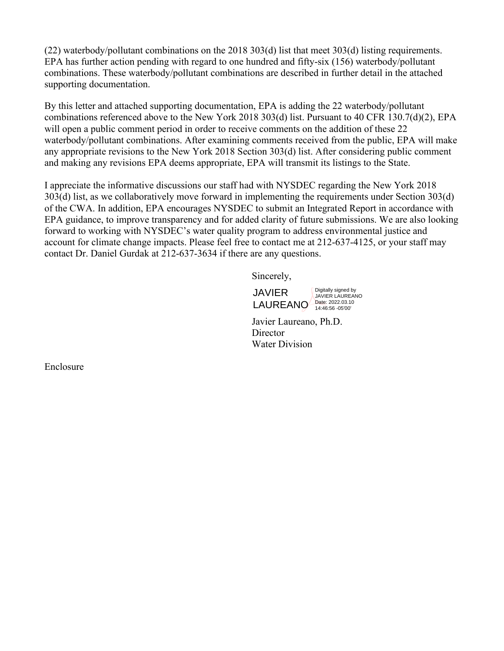(22) waterbody/pollutant combinations on the 2018 303(d) list that meet 303(d) listing requirements. EPA has further action pending with regard to one hundred and fifty-six (156) waterbody/pollutant combinations. These waterbody/pollutant combinations are described in further detail in the attached supporting documentation.

By this letter and attached supporting documentation, EPA is adding the 22 waterbody/pollutant combinations referenced above to the New York 2018 303(d) list. Pursuant to 40 CFR 130.7(d)(2), EPA will open a public comment period in order to receive comments on the addition of these 22 waterbody/pollutant combinations. After examining comments received from the public, EPA will make any appropriate revisions to the New York 2018 Section 303(d) list. After considering public comment and making any revisions EPA deems appropriate, EPA will transmit its listings to the State.

I appreciate the informative discussions our staff had with NYSDEC regarding the New York 2018 303(d) list, as we collaboratively move forward in implementing the requirements under Section 303(d) of the CWA. In addition, EPA encourages NYSDEC to submit an Integrated Report in accordance with EPA guidance, to improve transparency and for added clarity of future submissions. We are also looking forward to working with NYSDEC's water quality program to address environmental justice and account for climate change impacts. Please feel free to contact me at 212-637-4125, or your staff may contact Dr. Daniel Gurdak at 212-637-3634 if there are any questions.

Sincerely,

JAVIER LAUREANO Date: 2022.03.10

Digitally signed by JAVIER LAUREANO

Javier Laureano, Ph.D. **Director** Water Division

Enclosure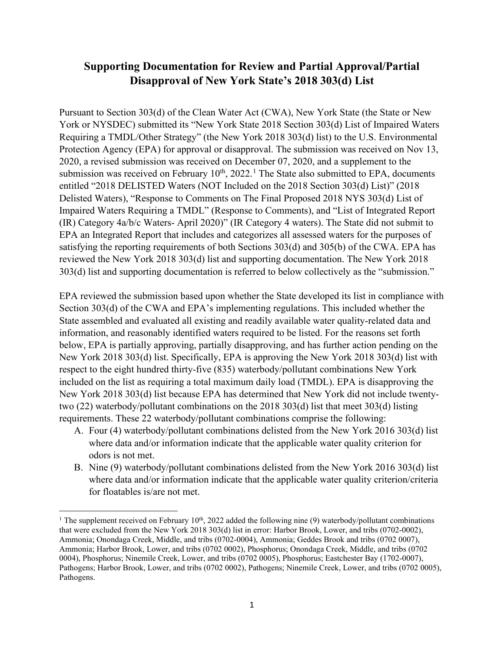## **Supporting Documentation for Review and Partial Approval/Partial Disapproval of New York State's 2018 303(d) List**

Pursuant to Section 303(d) of the Clean Water Act (CWA), New York State (the State or New York or NYSDEC) submitted its "New York State 2018 Section 303(d) List of Impaired Waters Requiring a TMDL/Other Strategy" (the New York 2018 303(d) list) to the U.S. Environmental Protection Agency (EPA) for approval or disapproval. The submission was received on Nov 13, 2020, a revised submission was received on December 07, 2020, and a supplement to the submission was received on February  $10^{th}$  $10^{th}$ ,  $2022$ .<sup>1</sup> The State also submitted to EPA, documents entitled "2018 DELISTED Waters (NOT Included on the 2018 Section 303(d) List)" (2018 Delisted Waters), "Response to Comments on The Final Proposed 2018 NYS 303(d) List of Impaired Waters Requiring a TMDL" (Response to Comments), and "List of Integrated Report (IR) Category 4a/b/c Waters- April 2020)" (IR Category 4 waters). The State did not submit to EPA an Integrated Report that includes and categorizes all assessed waters for the purposes of satisfying the reporting requirements of both Sections 303(d) and 305(b) of the CWA. EPA has reviewed the New York 2018 303(d) list and supporting documentation. The New York 2018 303(d) list and supporting documentation is referred to below collectively as the "submission."

EPA reviewed the submission based upon whether the State developed its list in compliance with Section 303(d) of the CWA and EPA's implementing regulations. This included whether the State assembled and evaluated all existing and readily available water quality-related data and information, and reasonably identified waters required to be listed. For the reasons set forth below, EPA is partially approving, partially disapproving, and has further action pending on the New York 2018 303(d) list. Specifically, EPA is approving the New York 2018 303(d) list with respect to the eight hundred thirty-five (835) waterbody/pollutant combinations New York included on the list as requiring a total maximum daily load (TMDL). EPA is disapproving the New York 2018 303(d) list because EPA has determined that New York did not include twentytwo (22) waterbody/pollutant combinations on the 2018 303(d) list that meet 303(d) listing requirements. These 22 waterbody/pollutant combinations comprise the following:

- A. Four (4) waterbody/pollutant combinations delisted from the New York 2016 303(d) list where data and/or information indicate that the applicable water quality criterion for odors is not met.
- B. Nine (9) waterbody/pollutant combinations delisted from the New York 2016 303(d) list where data and/or information indicate that the applicable water quality criterion/criteria for floatables is/are not met.

<span id="page-2-0"></span><sup>&</sup>lt;sup>1</sup> The supplement received on February 10<sup>th</sup>, 2022 added the following nine (9) waterbody/pollutant combinations that were excluded from the New York 2018 303(d) list in error: Harbor Brook, Lower, and tribs (0702-0002), Ammonia; Onondaga Creek, Middle, and tribs (0702-0004), Ammonia; Geddes Brook and tribs (0702 0007), Ammonia; Harbor Brook, Lower, and tribs (0702 0002), Phosphorus; Onondaga Creek, Middle, and tribs (0702 0004), Phosphorus; Ninemile Creek, Lower, and tribs (0702 0005), Phosphorus; Eastchester Bay (1702-0007), Pathogens; Harbor Brook, Lower, and tribs (0702 0002), Pathogens; Ninemile Creek, Lower, and tribs (0702 0005), Pathogens.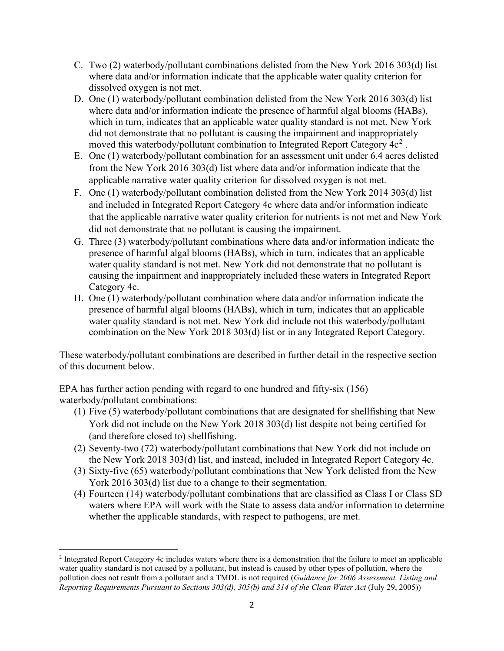- C. Two (2) waterbody/pollutant combinations delisted from the New York 2016 303(d) list where data and/or information indicate that the applicable water quality criterion for dissolved oxygen is not met.
- D. One (1) waterbody/pollutant combination delisted from the New York 2016 303(d) list where data and/or information indicate the presence of harmful algal blooms (HABs), which in turn, indicates that an applicable water quality standard is not met. New York did not demonstrate that no pollutant is causing the impairment and inappropriately moved this waterbody/pollutant combination to Integrated Report Category  $4c<sup>2</sup>$  $4c<sup>2</sup>$  $4c<sup>2</sup>$ .
- E. One (1) waterbody/pollutant combination for an assessment unit under 6.4 acres delisted from the New York 2016 303(d) list where data and/or information indicate that the applicable narrative water quality criterion for dissolved oxygen is not met.
- F. One (1) waterbody/pollutant combination delisted from the New York 2014 303(d) list and included in Integrated Report Category 4c where data and/or information indicate that the applicable narrative water quality criterion for nutrients is not met and New York did not demonstrate that no pollutant is causing the impairment.
- G. Three (3) waterbody/pollutant combinations where data and/or information indicate the presence of harmful algal blooms (HABs), which in turn, indicates that an applicable water quality standard is not met. New York did not demonstrate that no pollutant is causing the impairment and inappropriately included these waters in Integrated Report Category 4c.
- H. One (1) waterbody/pollutant combination where data and/or information indicate the presence of harmful algal blooms (HABs), which in turn, indicates that an applicable water quality standard is not met. New York did include not this waterbody/pollutant combination on the New York 2018 303(d) list or in any Integrated Report Category.

These waterbody/pollutant combinations are described in further detail in the respective section of this document below.

EPA has further action pending with regard to one hundred and fifty-six (156) waterbody/pollutant combinations:

- (1) Five (5) waterbody/pollutant combinations that are designated for shellfishing that New York did not include on the New York 2018 303(d) list despite not being certified for (and therefore closed to) shellfishing.
- (2) Seventy-two (72) waterbody/pollutant combinations that New York did not include on the New York 2018 303(d) list, and instead, included in Integrated Report Category 4c.
- (3) Sixty-five (65) waterbody/pollutant combinations that New York delisted from the New York 2016 303(d) list due to a change to their segmentation.
- (4) Fourteen (14) waterbody/pollutant combinations that are classified as Class I or Class SD waters where EPA will work with the State to assess data and/or information to determine whether the applicable standards, with respect to pathogens, are met.

<span id="page-3-0"></span><sup>2</sup> Integrated Report Category 4c includes waters where there is a demonstration that the failure to meet an applicable water quality standard is not caused by a pollutant, but instead is caused by other types of pollution, where the pollution does not result from a pollutant and a TMDL is not required (*Guidance for 2006 Assessment, Listing and Reporting Requirements Pursuant to Sections 303(d), 305(b) and 314 of the Clean Water Act (July 29, 2005))*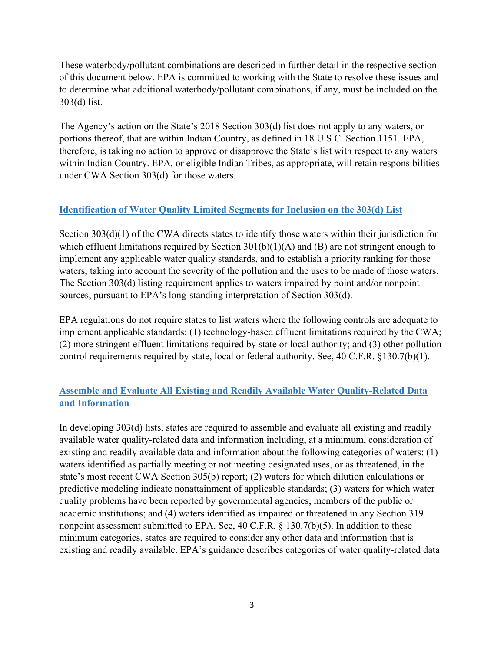These waterbody/pollutant combinations are described in further detail in the respective section of this document below. EPA is committed to working with the State to resolve these issues and to determine what additional waterbody/pollutant combinations, if any, must be included on the 303(d) list.

The Agency's action on the State's 2018 Section 303(d) list does not apply to any waters, or portions thereof, that are within Indian Country, as defined in 18 U.S.C. Section 1151. EPA, therefore, is taking no action to approve or disapprove the State's list with respect to any waters within Indian Country. EPA, or eligible Indian Tribes, as appropriate, will retain responsibilities under CWA Section 303(d) for those waters.

## **Identification of Water Quality Limited Segments for Inclusion on the 303(d) List**

Section 303(d)(1) of the CWA directs states to identify those waters within their jurisdiction for which effluent limitations required by Section  $301(b)(1)(A)$  and (B) are not stringent enough to implement any applicable water quality standards, and to establish a priority ranking for those waters, taking into account the severity of the pollution and the uses to be made of those waters. The Section 303(d) listing requirement applies to waters impaired by point and/or nonpoint sources, pursuant to EPA's long-standing interpretation of Section 303(d).

EPA regulations do not require states to list waters where the following controls are adequate to implement applicable standards: (1) technology-based effluent limitations required by the CWA; (2) more stringent effluent limitations required by state or local authority; and (3) other pollution control requirements required by state, local or federal authority. See, 40 C.F.R. §130.7(b)(1).

## **Assemble and Evaluate All Existing and Readily Available Water Quality-Related Data and Information**

In developing 303(d) lists, states are required to assemble and evaluate all existing and readily available water quality-related data and information including, at a minimum, consideration of existing and readily available data and information about the following categories of waters: (1) waters identified as partially meeting or not meeting designated uses, or as threatened, in the state's most recent CWA Section 305(b) report; (2) waters for which dilution calculations or predictive modeling indicate nonattainment of applicable standards; (3) waters for which water quality problems have been reported by governmental agencies, members of the public or academic institutions; and (4) waters identified as impaired or threatened in any Section 319 nonpoint assessment submitted to EPA. See, 40 C.F.R. § 130.7(b)(5). In addition to these minimum categories, states are required to consider any other data and information that is existing and readily available. EPA's guidance describes categories of water quality-related data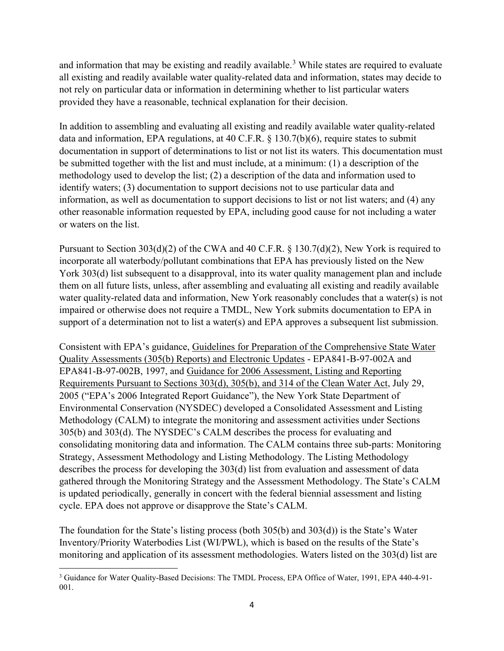and information that may be existing and readily available.<sup>[3](#page-5-0)</sup> While states are required to evaluate all existing and readily available water quality-related data and information, states may decide to not rely on particular data or information in determining whether to list particular waters provided they have a reasonable, technical explanation for their decision.

In addition to assembling and evaluating all existing and readily available water quality-related data and information, EPA regulations, at 40 C.F.R. § 130.7(b)(6), require states to submit documentation in support of determinations to list or not list its waters. This documentation must be submitted together with the list and must include, at a minimum: (1) a description of the methodology used to develop the list; (2) a description of the data and information used to identify waters; (3) documentation to support decisions not to use particular data and information, as well as documentation to support decisions to list or not list waters; and (4) any other reasonable information requested by EPA, including good cause for not including a water or waters on the list.

Pursuant to Section 303(d)(2) of the CWA and 40 C.F.R. § 130.7(d)(2), New York is required to incorporate all waterbody/pollutant combinations that EPA has previously listed on the New York 303(d) list subsequent to a disapproval, into its water quality management plan and include them on all future lists, unless, after assembling and evaluating all existing and readily available water quality-related data and information, New York reasonably concludes that a water(s) is not impaired or otherwise does not require a TMDL, New York submits documentation to EPA in support of a determination not to list a water(s) and EPA approves a subsequent list submission.

Consistent with EPA's guidance, Guidelines for Preparation of the Comprehensive State Water Quality Assessments (305(b) Reports) and Electronic Updates - EPA841-B-97-002A and EPA841-B-97-002B, 1997, and Guidance for 2006 Assessment, Listing and Reporting Requirements Pursuant to Sections 303(d), 305(b), and 314 of the Clean Water Act, July 29, 2005 ("EPA's 2006 Integrated Report Guidance"), the New York State Department of Environmental Conservation (NYSDEC) developed a Consolidated Assessment and Listing Methodology (CALM) to integrate the monitoring and assessment activities under Sections 305(b) and 303(d). The NYSDEC's CALM describes the process for evaluating and consolidating monitoring data and information. The CALM contains three sub-parts: Monitoring Strategy, Assessment Methodology and Listing Methodology. The Listing Methodology describes the process for developing the 303(d) list from evaluation and assessment of data gathered through the Monitoring Strategy and the Assessment Methodology. The State's CALM is updated periodically, generally in concert with the federal biennial assessment and listing cycle. EPA does not approve or disapprove the State's CALM.

The foundation for the State's listing process (both 305(b) and 303(d)) is the State's Water Inventory/Priority Waterbodies List (WI/PWL), which is based on the results of the State's monitoring and application of its assessment methodologies. Waters listed on the 303(d) list are

<span id="page-5-0"></span><sup>3</sup> Guidance for Water Quality-Based Decisions: The TMDL Process, EPA Office of Water, 1991, EPA 440-4-91- 001.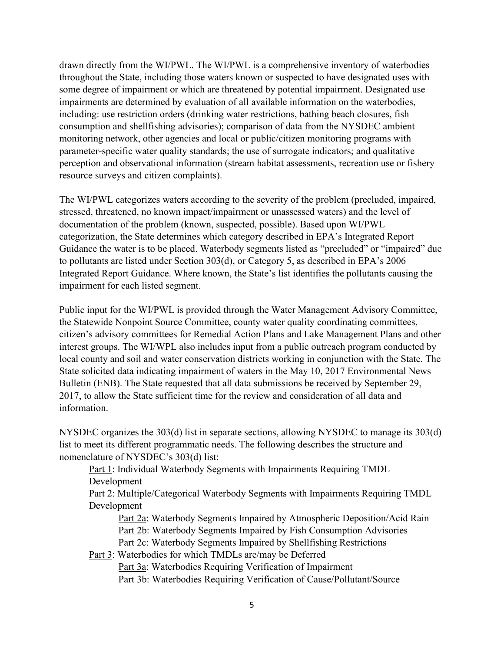drawn directly from the WI/PWL. The WI/PWL is a comprehensive inventory of waterbodies throughout the State, including those waters known or suspected to have designated uses with some degree of impairment or which are threatened by potential impairment. Designated use impairments are determined by evaluation of all available information on the waterbodies, including: use restriction orders (drinking water restrictions, bathing beach closures, fish consumption and shellfishing advisories); comparison of data from the NYSDEC ambient monitoring network, other agencies and local or public/citizen monitoring programs with parameter-specific water quality standards; the use of surrogate indicators; and qualitative perception and observational information (stream habitat assessments, recreation use or fishery resource surveys and citizen complaints).

The WI/PWL categorizes waters according to the severity of the problem (precluded, impaired, stressed, threatened, no known impact/impairment or unassessed waters) and the level of documentation of the problem (known, suspected, possible). Based upon WI/PWL categorization, the State determines which category described in EPA's Integrated Report Guidance the water is to be placed. Waterbody segments listed as "precluded" or "impaired" due to pollutants are listed under Section 303(d), or Category 5, as described in EPA's 2006 Integrated Report Guidance. Where known, the State's list identifies the pollutants causing the impairment for each listed segment.

Public input for the WI/PWL is provided through the Water Management Advisory Committee, the Statewide Nonpoint Source Committee, county water quality coordinating committees, citizen's advisory committees for Remedial Action Plans and Lake Management Plans and other interest groups. The WI/WPL also includes input from a public outreach program conducted by local county and soil and water conservation districts working in conjunction with the State. The State solicited data indicating impairment of waters in the May 10, 2017 Environmental News Bulletin (ENB). The State requested that all data submissions be received by September 29, 2017, to allow the State sufficient time for the review and consideration of all data and information.

NYSDEC organizes the 303(d) list in separate sections, allowing NYSDEC to manage its 303(d) list to meet its different programmatic needs. The following describes the structure and nomenclature of NYSDEC's 303(d) list:

Part 1: Individual Waterbody Segments with Impairments Requiring TMDL Development

Part 2: Multiple/Categorical Waterbody Segments with Impairments Requiring TMDL Development

Part 2a: Waterbody Segments Impaired by Atmospheric Deposition/Acid Rain Part 2b: Waterbody Segments Impaired by Fish Consumption Advisories Part 2c: Waterbody Segments Impaired by Shellfishing Restrictions

Part 3: Waterbodies for which TMDLs are/may be Deferred Part 3a: Waterbodies Requiring Verification of Impairment Part 3b: Waterbodies Requiring Verification of Cause/Pollutant/Source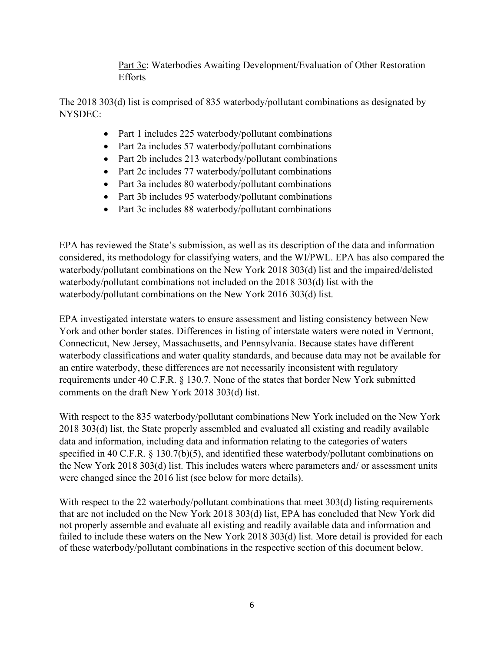Part 3c: Waterbodies Awaiting Development/Evaluation of Other Restoration Efforts

The 2018 303(d) list is comprised of 835 waterbody/pollutant combinations as designated by NYSDEC:

- Part 1 includes 225 waterbody/pollutant combinations
- Part 2a includes 57 waterbody/pollutant combinations
- Part 2b includes 213 waterbody/pollutant combinations
- Part 2c includes 77 waterbody/pollutant combinations
- Part 3a includes 80 waterbody/pollutant combinations
- Part 3b includes 95 waterbody/pollutant combinations
- Part 3c includes 88 waterbody/pollutant combinations

EPA has reviewed the State's submission, as well as its description of the data and information considered, its methodology for classifying waters, and the WI/PWL. EPA has also compared the waterbody/pollutant combinations on the New York 2018 303(d) list and the impaired/delisted waterbody/pollutant combinations not included on the 2018 303(d) list with the waterbody/pollutant combinations on the New York 2016 303(d) list.

EPA investigated interstate waters to ensure assessment and listing consistency between New York and other border states. Differences in listing of interstate waters were noted in Vermont, Connecticut, New Jersey, Massachusetts, and Pennsylvania. Because states have different waterbody classifications and water quality standards, and because data may not be available for an entire waterbody, these differences are not necessarily inconsistent with regulatory requirements under 40 C.F.R. § 130.7. None of the states that border New York submitted comments on the draft New York 2018 303(d) list.

With respect to the 835 waterbody/pollutant combinations New York included on the New York 2018 303(d) list, the State properly assembled and evaluated all existing and readily available data and information, including data and information relating to the categories of waters specified in 40 C.F.R. § 130.7(b)(5), and identified these waterbody/pollutant combinations on the New York 2018 303(d) list. This includes waters where parameters and/ or assessment units were changed since the 2016 list (see below for more details).

With respect to the 22 waterbody/pollutant combinations that meet 303(d) listing requirements that are not included on the New York 2018 303(d) list, EPA has concluded that New York did not properly assemble and evaluate all existing and readily available data and information and failed to include these waters on the New York 2018 303(d) list. More detail is provided for each of these waterbody/pollutant combinations in the respective section of this document below.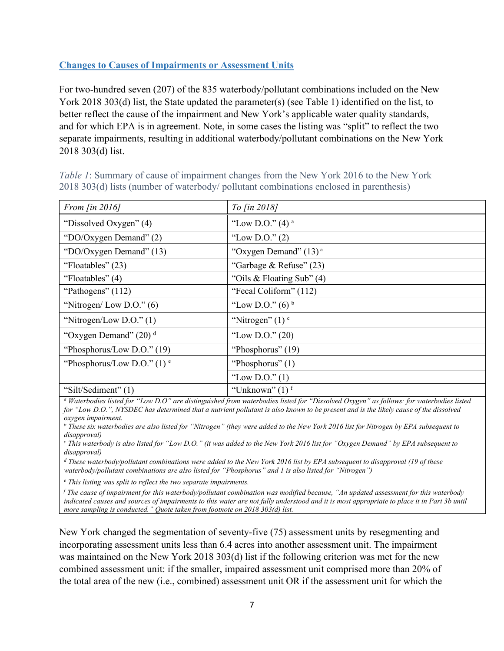### **Changes to Causes of Impairments or Assessment Units**

For two-hundred seven (207) of the 835 waterbody/pollutant combinations included on the New York 2018 303(d) list, the State updated the parameter(s) (see [Table 1\)](#page-8-0) identified on the list, to better reflect the cause of the impairment and New York's applicable water quality standards, and for which EPA is in agreement. Note, in some cases the listing was "split" to reflect the two separate impairments, resulting in additional waterbody/pollutant combinations on the New York 2018 303(d) list.

| From $\left[$ in 2016 $\right]$          | To [in 2018]                  |  |
|------------------------------------------|-------------------------------|--|
| "Dissolved Oxygen" (4)                   | "Low D.O." $(4)$ <sup>a</sup> |  |
| "DO/Oxygen Demand" (2)                   | "Low D.O." $(2)$              |  |
| "DO/Oxygen Demand" $(13)$                | "Oxygen Demand" $(13)^a$      |  |
| "Floatables" (23)                        | "Garbage & Refuse" $(23)$     |  |
| "Floatables" $(4)$                       | "Oils & Floating Sub" $(4)$   |  |
| "Pathogens" (112)                        | "Fecal Coliform" (112)        |  |
| "Nitrogen/Low D.O." $(6)$                | "Low D.O." $(6)^b$            |  |
| "Nitrogen/Low D.O." $(1)$                | "Nitrogen" $(1)$ $\circ$      |  |
| "Oxygen Demand" $(20)$ <sup>d</sup>      | "Low D.O." $(20)$             |  |
| "Phosphorus/Low D.O." $(19)$             | "Phosphorus" (19)             |  |
| "Phosphorus/Low D.O." $(1)$ <sup>e</sup> | "Phosphorus" $(1)$            |  |
|                                          | "Low D.O." $(1)$              |  |
| "Silt/Sediment" $(1)$                    | "Unknown" $(1)$ <sup>f</sup>  |  |

<span id="page-8-0"></span>*Table 1*: Summary of cause of impairment changes from the New York 2016 to the New York 2018 303(d) lists (number of waterbody/ pollutant combinations enclosed in parenthesis)

*<sup>a</sup> Waterbodies listed for "Low D.O" are distinguished from waterbodies listed for "Dissolved Oxygen" as follows: for waterbodies listed*  for "Low D.O.", NYSDEC has determined that a nutrient pollutant is also known to be present and is the likely cause of the dissolved *oxygen impairment.* 

*<sup>b</sup> These six waterbodies are also listed for "Nitrogen" (they were added to the New York 2016 list for Nitrogen by EPA subsequent to disapproval)*

*<sup>c</sup> This waterbody is also listed for "Low D.O." (it was added to the New York 2016 list for "Oxygen Demand" by EPA subsequent to disapproval)*

*<sup>d</sup> These waterbody/pollutant combinations were added to the New York 2016 list by EPA subsequent to disapproval (19 of these waterbody/pollutant combinations are also listed for "Phosphorus" and 1 is also listed for "Nitrogen")*

*<sup>e</sup> This listing was split to reflect the two separate impairments.* 

*<sup>f</sup> The cause of impairment for this waterbody/pollutant combination was modified because, "An updated assessment for this waterbody indicated causes and sources of impairments to this water are not fully understood and it is most appropriate to place it in Part 3b until more sampling is conducted." Quote taken from footnote on 2018 303(d) list.* 

New York changed the segmentation of seventy-five (75) assessment units by resegmenting and incorporating assessment units less than 6.4 acres into another assessment unit. The impairment was maintained on the New York 2018 303(d) list if the following criterion was met for the new combined assessment unit: if the smaller, impaired assessment unit comprised more than 20% of the total area of the new (i.e., combined) assessment unit OR if the assessment unit for which the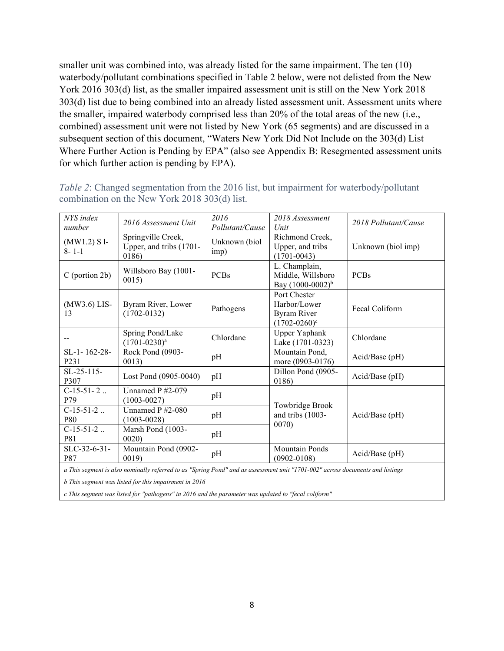smaller unit was combined into, was already listed for the same impairment. The ten (10) waterbody/pollutant combinations specified in Table 2 below, were not delisted from the New York 2016 303(d) list, as the smaller impaired assessment unit is still on the New York 2018 303(d) list due to being combined into an already listed assessment unit. Assessment units where the smaller, impaired waterbody comprised less than 20% of the total areas of the new (i.e., combined) assessment unit were not listed by New York (65 segments) and are discussed in a subsequent section of this document, ["Waters New York Did Not Include on the 303\(d\) List](#page-24-0)  [Where Further Action is](#page-24-0) Pending by EPA" (also see [Appendix B: Resegmented assessment units](#page-42-0)  [for which further action is pending by EPA\)](#page-42-0).

| NYS index<br>number                                                                                                           | 2016 Assessment Unit                                   | 2016<br>Pollutant/Cause | 2018 Assessment<br>Unit                                                            | 2018 Pollutant/Cause |
|-------------------------------------------------------------------------------------------------------------------------------|--------------------------------------------------------|-------------------------|------------------------------------------------------------------------------------|----------------------|
| $(MW1.2) S1$ -<br>$8 - 1 - 1$                                                                                                 | Springville Creek,<br>Upper, and tribs (1701-<br>0186) | Unknown (biol<br>imp)   | Richmond Creek,<br>Upper, and tribs<br>$(1701 - 0043)$                             | Unknown (biol imp)   |
| $C$ (portion 2b)                                                                                                              | Willsboro Bay (1001-<br>0015                           | <b>PCBs</b>             | L. Champlain,<br>Middle, Willsboro<br>Bay $(1000-0002)^{b}$                        | <b>PCBs</b>          |
| $(MW3.6)$ LIS-<br>13                                                                                                          | Byram River, Lower<br>$(1702 - 0132)$                  | Pathogens               | Port Chester<br>Harbor/Lower<br><b>Byram River</b><br>$(1702 - 0260)$ <sup>c</sup> | Fecal Coliform       |
|                                                                                                                               | Spring Pond/Lake<br>$(1701 - 0230)^a$                  | Chlordane               | Upper Yaphank<br>Lake (1701-0323)                                                  | Chlordane            |
| $SL-1-162-28-$<br>P <sub>231</sub>                                                                                            | Rock Pond (0903-<br>0013)                              | pH                      | Mountain Pond,<br>more (0903-0176)                                                 | Acid/Base (pH)       |
| $SL-25-115-$<br>P307                                                                                                          | Lost Pond (0905-0040)                                  | pH                      | Dillon Pond (0905-<br>0186)                                                        | Acid/Base (pH)       |
| $C-15-51-2$<br>P79                                                                                                            | Unnamed $P$ #2-079<br>$(1003 - 0027)$                  | pH                      |                                                                                    |                      |
| $C-15-51-2$<br>P80                                                                                                            | Unnamed $P$ #2-080<br>$(1003 - 0028)$                  | pH                      | Towbridge Brook<br>and tribs (1003-                                                | Acid/Base (pH)       |
| $C-15-51-2$<br><b>P81</b>                                                                                                     | Marsh Pond (1003-<br>0020                              | pH                      | 0070)                                                                              |                      |
| SLC-32-6-31-<br><b>P87</b>                                                                                                    | Mountain Pond (0902-<br>0019)                          | pH                      | Mountain Ponds<br>$(0902 - 0108)$                                                  | Acid/Base (pH)       |
| a This segment is also nominally referred to as "Spring Pond" and as assessment unit "1701-002" across documents and listings |                                                        |                         |                                                                                    |                      |

<span id="page-9-0"></span>*Table 2*: Changed segmentation from the 2016 list, but impairment for waterbody/pollutant combination on the New York 2018 303(d) list.

*b This segment was listed for this impairment in 2016*

*c This segment was listed for "pathogens" in 2016 and the parameter was updated to "fecal coliform"*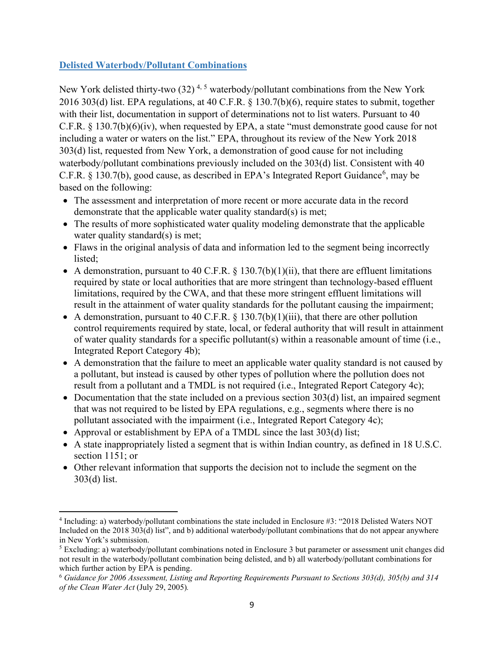### **Delisted Waterbody/Pollutant Combinations**

New York delisted thirty-two  $(32)^{4,5}$  $(32)^{4,5}$  $(32)^{4,5}$  $(32)^{4,5}$  $(32)^{4,5}$  waterbody/pollutant combinations from the New York 2016 303(d) list. EPA regulations, at 40 C.F.R. § 130.7(b)(6), require states to submit, together with their list, documentation in support of determinations not to list waters. Pursuant to 40 C.F.R. § 130.7(b)(6)(iv), when requested by EPA, a state "must demonstrate good cause for not including a water or waters on the list." EPA, throughout its review of the New York 2018 303(d) list, requested from New York, a demonstration of good cause for not including waterbody/pollutant combinations previously included on the 303(d) list. Consistent with 40 C.F.R. § 130.7(b), good cause, as described in EPA's Integrated Report Guidance<sup>[6](#page-10-2)</sup>, may be based on the following:

- The assessment and interpretation of more recent or more accurate data in the record demonstrate that the applicable water quality standard(s) is met;
- The results of more sophisticated water quality modeling demonstrate that the applicable water quality standard(s) is met;
- Flaws in the original analysis of data and information led to the segment being incorrectly listed;
- A demonstration, pursuant to 40 C.F.R.  $\S$  130.7(b)(1)(ii), that there are effluent limitations required by state or local authorities that are more stringent than technology-based effluent limitations, required by the CWA, and that these more stringent effluent limitations will result in the attainment of water quality standards for the pollutant causing the impairment;
- A demonstration, pursuant to 40 C.F.R.  $\S$  130.7(b)(1)(iii), that there are other pollution control requirements required by state, local, or federal authority that will result in attainment of water quality standards for a specific pollutant(s) within a reasonable amount of time (i.e., Integrated Report Category 4b);
- A demonstration that the failure to meet an applicable water quality standard is not caused by a pollutant, but instead is caused by other types of pollution where the pollution does not result from a pollutant and a TMDL is not required (i.e., Integrated Report Category 4c);
- Documentation that the state included on a previous section 303(d) list, an impaired segment that was not required to be listed by EPA regulations, e.g., segments where there is no pollutant associated with the impairment (i.e., Integrated Report Category 4c);
- Approval or establishment by EPA of a TMDL since the last 303(d) list;
- A state inappropriately listed a segment that is within Indian country, as defined in 18 U.S.C. section 1151; or
- Other relevant information that supports the decision not to include the segment on the 303(d) list.

<span id="page-10-0"></span><sup>4</sup> Including: a) waterbody/pollutant combinations the state included in Enclosure #3: "2018 Delisted Waters NOT Included on the 2018 303(d) list", and b) additional waterbody/pollutant combinations that do not appear anywhere in New York's submission.

<span id="page-10-1"></span><sup>5</sup> Excluding: a) waterbody/pollutant combinations noted in Enclosure 3 but parameter or assessment unit changes did not result in the waterbody/pollutant combination being delisted, and b) all waterbody/pollutant combinations for which further action by EPA is pending.

<span id="page-10-2"></span><sup>6</sup> *Guidance for 2006 Assessment, Listing and Reporting Requirements Pursuant to Sections 303(d), 305(b) and 314 of the Clean Water Act* (July 29, 2005)*.*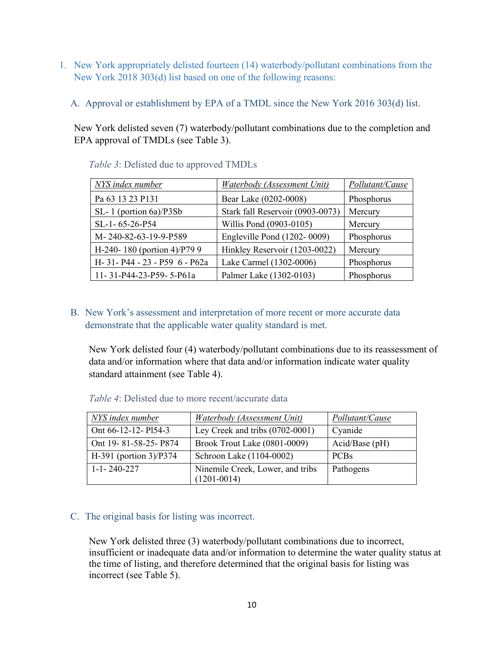- 1. New York appropriately delisted fourteen (14) waterbody/pollutant combinations from the New York 2018 303(d) list based on one of the following reasons:
	- A. Approval or establishment by EPA of a TMDL since the New York 2016 303(d) list.

New York delisted seven (7) waterbody/pollutant combinations due to the completion and EPA approval of TMDLs (see [Table 3\)](#page-11-0).

| NYS index number               | <b>Waterbody</b> (Assessment Unit) | Pollutant/Cause |
|--------------------------------|------------------------------------|-----------------|
| Pa 63 13 23 P131               | Bear Lake (0202-0008)              | Phosphorus      |
| $SL-1$ (portion 6a)/P3Sb       | Stark fall Reservoir (0903-0073)   | Mercury         |
| SL-1-65-26-P54                 | Willis Pond (0903-0105)            | Mercury         |
| M-240-82-63-19-9-P589          | Engleville Pond (1202-0009)        | Phosphorus      |
| H-240-180 (portion 4)/P79 9    | Hinkley Reservoir (1203-0022)      | Mercury         |
| H- 31- P44 - 23 - P59 6 - P62a | Lake Carmel (1302-0006)            | Phosphorus      |
| 11-31-P44-23-P59-5-P61a        | Palmer Lake (1302-0103)            | Phosphorus      |

<span id="page-11-0"></span>*Table 3*: Delisted due to approved TMDLs

## B. New York's assessment and interpretation of more recent or more accurate data demonstrate that the applicable water quality standard is met.

New York delisted four (4) waterbody/pollutant combinations due to its reassessment of data and/or information where that data and/or information indicate water quality standard attainment (see [Table 4\)](#page-11-1).

| NYS index number         | Waterbody (Assessment Unit)                         | Pollutant/Cause  |
|--------------------------|-----------------------------------------------------|------------------|
| Ont 66-12-12- P154-3     | Ley Creek and tribs (0702-0001)                     | Cyanide          |
| Ont 19-81-58-25-P874     | Brook Trout Lake (0801-0009)                        | $Acid/Base$ (pH) |
| $H-391$ (portion 3)/P374 | Schroon Lake (1104-0002)                            | <b>PCBs</b>      |
| $1 - 1 - 240 - 227$      | Ninemile Creek, Lower, and tribs<br>$(1201 - 0014)$ | Pathogens        |

<span id="page-11-1"></span>*Table 4*: Delisted due to more recent/accurate data

### C. The original basis for listing was incorrect.

New York delisted three (3) waterbody/pollutant combinations due to incorrect, insufficient or inadequate data and/or information to determine the water quality status at the time of listing, and therefore determined that the original basis for listing was incorrect (see [Table 5\)](#page-12-0).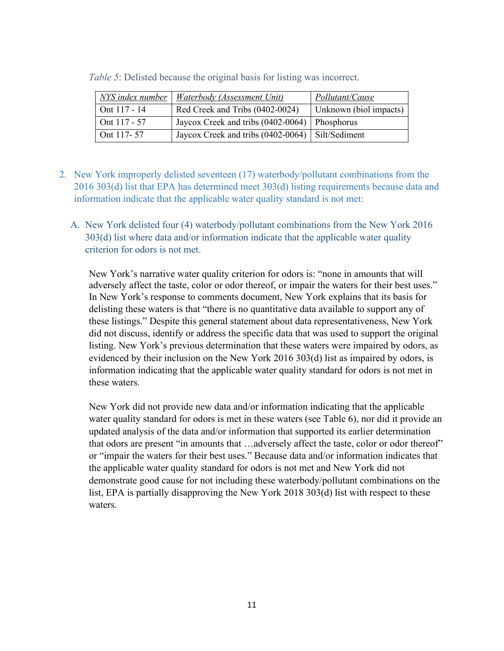| NYS index number | Waterbody (Assessment Unit)                        | Pollutant/Cause        |
|------------------|----------------------------------------------------|------------------------|
| Ont 117 - 14     | Red Creek and Tribs (0402-0024)                    | Unknown (biol impacts) |
| Ont $117 - 57$   | Jaycox Creek and tribs $(0402-0064)$ Phosphorus    |                        |
| Ont 117-57       | Jaycox Creek and tribs (0402-0064)   Silt/Sediment |                        |

<span id="page-12-0"></span>*Table 5*: Delisted because the original basis for listing was incorrect.

- 2. New York improperly delisted seventeen (17) waterbody/pollutant combinations from the 2016 303(d) list that EPA has determined meet 303(d) listing requirements because data and information indicate that the applicable water quality standard is not met:
	- A. New York delisted four (4) waterbody/pollutant combinations from the New York 2016 303(d) list where data and/or information indicate that the applicable water quality criterion for odors is not met.

New York's narrative water quality criterion for odors is: "none in amounts that will adversely affect the taste, color or odor thereof, or impair the waters for their best uses." In New York's response to comments document, New York explains that its basis for delisting these waters is that "there is no quantitative data available to support any of these listings." Despite this general statement about data representativeness, New York did not discuss, identify or address the specific data that was used to support the original listing. New York's previous determination that these waters were impaired by odors, as evidenced by their inclusion on the New York 2016 303(d) list as impaired by odors, is information indicating that the applicable water quality standard for odors is not met in these waters.

New York did not provide new data and/or information indicating that the applicable water quality standard for odors is met in these waters (see [Table 6\)](#page-13-0), nor did it provide an updated analysis of the data and/or information that supported its earlier determination that odors are present "in amounts that …adversely affect the taste, color or odor thereof" or "impair the waters for their best uses." Because data and/or information indicates that the applicable water quality standard for odors is not met and New York did not demonstrate good cause for not including these waterbody/pollutant combinations on the list, EPA is partially disapproving the New York 2018 303(d) list with respect to these waters.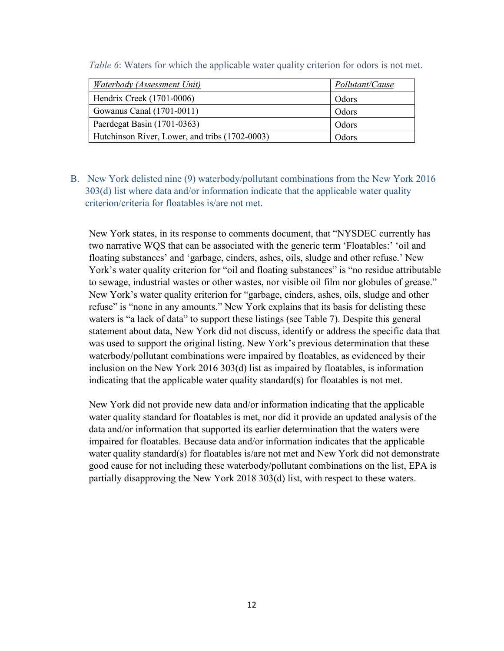| Waterbody (Assessment Unit)                    | Pollutant/Cause |
|------------------------------------------------|-----------------|
| Hendrix Creek (1701-0006)                      | Odors           |
| Gowanus Canal (1701-0011)                      | Odors           |
| Paerdegat Basin (1701-0363)                    | Odors           |
| Hutchinson River, Lower, and tribs (1702-0003) | Odors           |

<span id="page-13-0"></span>*Table 6*: Waters for which the applicable water quality criterion for odors is not met.

B. New York delisted nine (9) waterbody/pollutant combinations from the New York 2016 303(d) list where data and/or information indicate that the applicable water quality criterion/criteria for floatables is/are not met.

New York states, in its response to comments document, that "NYSDEC currently has two narrative WQS that can be associated with the generic term 'Floatables:' 'oil and floating substances' and 'garbage, cinders, ashes, oils, sludge and other refuse.' New York's water quality criterion for "oil and floating substances" is "no residue attributable to sewage, industrial wastes or other wastes, nor visible oil film nor globules of grease." New York's water quality criterion for "garbage, cinders, ashes, oils, sludge and other refuse" is "none in any amounts." New York explains that its basis for delisting these waters is "a lack of data" to support these listings (see [Table 7\)](#page-14-0). Despite this general statement about data, New York did not discuss, identify or address the specific data that was used to support the original listing. New York's previous determination that these waterbody/pollutant combinations were impaired by floatables, as evidenced by their inclusion on the New York 2016 303(d) list as impaired by floatables, is information indicating that the applicable water quality standard(s) for floatables is not met.

New York did not provide new data and/or information indicating that the applicable water quality standard for floatables is met, nor did it provide an updated analysis of the data and/or information that supported its earlier determination that the waters were impaired for floatables. Because data and/or information indicates that the applicable water quality standard(s) for floatables is/are not met and New York did not demonstrate good cause for not including these waterbody/pollutant combinations on the list, EPA is partially disapproving the New York 2018 303(d) list, with respect to these waters.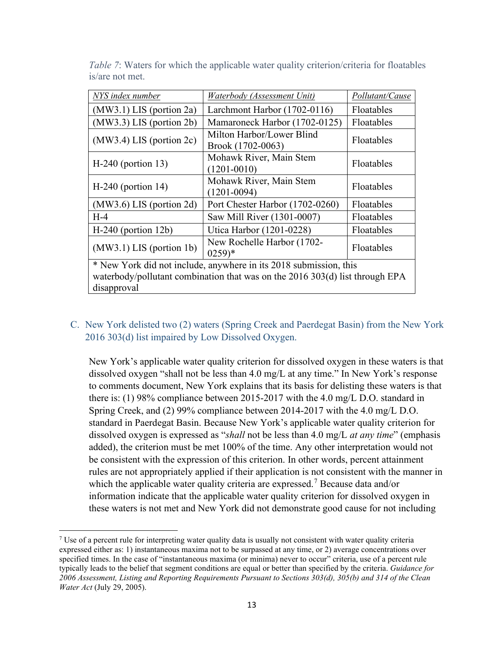| NYS index number                                                                                                                                                    | Waterbody (Assessment Unit)                              | Pollutant/Cause |  |  |
|---------------------------------------------------------------------------------------------------------------------------------------------------------------------|----------------------------------------------------------|-----------------|--|--|
| $(MW3.1)$ LIS (portion 2a)                                                                                                                                          | Larchmont Harbor (1702-0116)                             | Floatables      |  |  |
| (MW3.3) LIS (portion 2b)                                                                                                                                            | Mamaroneck Harbor (1702-0125)                            | Floatables      |  |  |
| $(MW3.4)$ LIS (portion 2c)                                                                                                                                          | Milton Harbor/Lower Blind<br>Brook (1702-0063)           | Floatables      |  |  |
| $H-240$ (portion 13)                                                                                                                                                | Mohawk River, Main Stem<br>Floatables<br>$(1201 - 0010)$ |                 |  |  |
| $H-240$ (portion 14)                                                                                                                                                | Mohawk River, Main Stem<br>$(1201 - 0094)$               | Floatables      |  |  |
| $(MW3.6)$ LIS (portion 2d)                                                                                                                                          | Port Chester Harbor (1702-0260)                          | Floatables      |  |  |
| $H-4$                                                                                                                                                               | Saw Mill River (1301-0007)                               | Floatables      |  |  |
| $H-240$ (portion 12b)                                                                                                                                               | Utica Harbor (1201-0228)                                 | Floatables      |  |  |
| New Rochelle Harbor (1702-<br>$(MW3.1)$ LIS (portion 1b)<br>Floatables<br>$(0259)*$                                                                                 |                                                          |                 |  |  |
| * New York did not include, anywhere in its 2018 submission, this<br>waterbody/pollutant combination that was on the $2016\,303(d)$ list through EPA<br>disapproval |                                                          |                 |  |  |

<span id="page-14-0"></span>*Table 7*: Waters for which the applicable water quality criterion/criteria for floatables is/are not met.

## C. New York delisted two (2) waters (Spring Creek and Paerdegat Basin) from the New York 2016 303(d) list impaired by Low Dissolved Oxygen.

New York's applicable water quality criterion for dissolved oxygen in these waters is that dissolved oxygen "shall not be less than 4.0 mg/L at any time." In New York's response to comments document, New York explains that its basis for delisting these waters is that there is: (1) 98% compliance between 2015-2017 with the 4.0 mg/L D.O. standard in Spring Creek, and (2) 99% compliance between 2014-2017 with the 4.0 mg/L D.O. standard in Paerdegat Basin. Because New York's applicable water quality criterion for dissolved oxygen is expressed as "*shall* not be less than 4.0 mg/L *at any time*" (emphasis added), the criterion must be met 100% of the time. Any other interpretation would not be consistent with the expression of this criterion. In other words, percent attainment rules are not appropriately applied if their application is not consistent with the manner in which the applicable water quality criteria are expressed.<sup>[7](#page-14-1)</sup> Because data and/or information indicate that the applicable water quality criterion for dissolved oxygen in these waters is not met and New York did not demonstrate good cause for not including

<span id="page-14-1"></span><sup>&</sup>lt;sup>7</sup> Use of a percent rule for interpreting water quality data is usually not consistent with water quality criteria expressed either as: 1) instantaneous maxima not to be surpassed at any time, or 2) average concentrations over specified times. In the case of "instantaneous maxima (or minima) never to occur" criteria, use of a percent rule typically leads to the belief that segment conditions are equal or better than specified by the criteria. *Guidance for 2006 Assessment, Listing and Reporting Requirements Pursuant to Sections 303(d), 305(b) and 314 of the Clean Water Act* (July 29, 2005).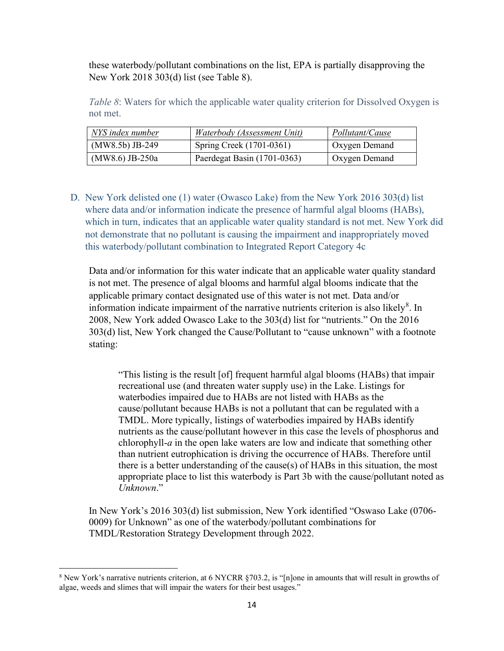these waterbody/pollutant combinations on the list, EPA is partially disapproving the New York 2018 303(d) list (see [Table 8\)](#page-15-0).

<span id="page-15-0"></span>*Table 8*: Waters for which the applicable water quality criterion for Dissolved Oxygen is not met.

| NYS index number  | Waterbody (Assessment Unit) | Pollutant/Cause      |
|-------------------|-----------------------------|----------------------|
| $(MW8.5b)$ JB-249 | Spring Creek (1701-0361)    | <b>Oxygen Demand</b> |
| $(MW8.6)$ JB-250a | Paerdegat Basin (1701-0363) | <b>Oxygen Demand</b> |

D. New York delisted one (1) water (Owasco Lake) from the New York 2016 303(d) list where data and/or information indicate the presence of harmful algal blooms (HABs), which in turn, indicates that an applicable water quality standard is not met. New York did not demonstrate that no pollutant is causing the impairment and inappropriately moved this waterbody/pollutant combination to Integrated Report Category 4c

Data and/or information for this water indicate that an applicable water quality standard is not met. The presence of algal blooms and harmful algal blooms indicate that the applicable primary contact designated use of this water is not met. Data and/or information indicate impairment of the narrative nutrients criterion is also likely $^{8}$  $^{8}$  $^{8}$ . In 2008, New York added Owasco Lake to the 303(d) list for "nutrients." On the 2016 303(d) list, New York changed the Cause/Pollutant to "cause unknown" with a footnote stating:

"This listing is the result [of] frequent harmful algal blooms (HABs) that impair recreational use (and threaten water supply use) in the Lake. Listings for waterbodies impaired due to HABs are not listed with HABs as the cause/pollutant because HABs is not a pollutant that can be regulated with a TMDL. More typically, listings of waterbodies impaired by HABs identify nutrients as the cause/pollutant however in this case the levels of phosphorus and chlorophyll-*a* in the open lake waters are low and indicate that something other than nutrient eutrophication is driving the occurrence of HABs. Therefore until there is a better understanding of the cause(s) of HABs in this situation, the most appropriate place to list this waterbody is Part 3b with the cause/pollutant noted as *Unknown*."

In New York's 2016 303(d) list submission, New York identified "Oswaso Lake (0706- 0009) for Unknown" as one of the waterbody/pollutant combinations for TMDL/Restoration Strategy Development through 2022.

<span id="page-15-1"></span><sup>8</sup> New York's narrative nutrients criterion, at 6 NYCRR §703.2, is "[n]one in amounts that will result in growths of algae, weeds and slimes that will impair the waters for their best usages."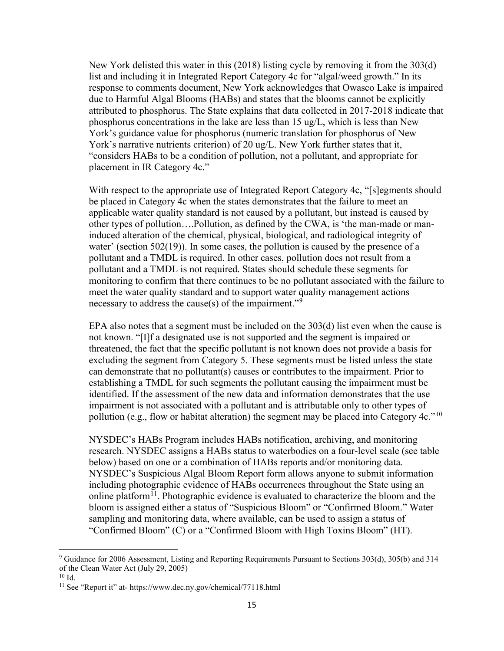New York delisted this water in this (2018) listing cycle by removing it from the 303(d) list and including it in Integrated Report Category 4c for "algal/weed growth." In its response to comments document, New York acknowledges that Owasco Lake is impaired due to Harmful Algal Blooms (HABs) and states that the blooms cannot be explicitly attributed to phosphorus. The State explains that data collected in 2017-2018 indicate that phosphorus concentrations in the lake are less than 15 ug/L, which is less than New York's guidance value for phosphorus (numeric translation for phosphorus of New York's narrative nutrients criterion) of 20 ug/L. New York further states that it, "considers HABs to be a condition of pollution, not a pollutant, and appropriate for placement in IR Category 4c."

With respect to the appropriate use of Integrated Report Category 4c, "[s]egments should be placed in Category 4c when the states demonstrates that the failure to meet an applicable water quality standard is not caused by a pollutant, but instead is caused by other types of pollution….Pollution, as defined by the CWA, is 'the man-made or maninduced alteration of the chemical, physical, biological, and radiological integrity of water' (section  $502(19)$ ). In some cases, the pollution is caused by the presence of a pollutant and a TMDL is required. In other cases, pollution does not result from a pollutant and a TMDL is not required. States should schedule these segments for monitoring to confirm that there continues to be no pollutant associated with the failure to meet the water quality standard and to support water quality management actions necessary to address the cause(s) of the impairment."<sup>[9](#page-16-0)</sup>

EPA also notes that a segment must be included on the 303(d) list even when the cause is not known. "[I]f a designated use is not supported and the segment is impaired or threatened, the fact that the specific pollutant is not known does not provide a basis for excluding the segment from Category 5. These segments must be listed unless the state can demonstrate that no pollutant(s) causes or contributes to the impairment. Prior to establishing a TMDL for such segments the pollutant causing the impairment must be identified. If the assessment of the new data and information demonstrates that the use impairment is not associated with a pollutant and is attributable only to other types of pollution (e.g., flow or habitat alteration) the segment may be placed into Category 4c."<sup>10</sup>

NYSDEC's HABs Program includes HABs notification, archiving, and monitoring research. NYSDEC assigns a HABs status to waterbodies on a four-level scale (see table below) based on one or a combination of HABs reports and/or monitoring data. NYSDEC's Suspicious Algal Bloom Report form allows anyone to submit information including photographic evidence of HABs occurrences throughout the State using an online platform<sup>[11](#page-16-2)</sup>. Photographic evidence is evaluated to characterize the bloom and the bloom is assigned either a status of "Suspicious Bloom" or "Confirmed Bloom." Water sampling and monitoring data, where available, can be used to assign a status of "Confirmed Bloom" (C) or a "Confirmed Bloom with High Toxins Bloom" (HT).

<span id="page-16-0"></span><sup>9</sup> Guidance for 2006 Assessment, Listing and Reporting Requirements Pursuant to Sections 303(d), 305(b) and 314 of the Clean Water Act (July 29, 2005)

<span id="page-16-1"></span> $10$  Id.

<span id="page-16-2"></span><sup>11</sup> See "Report it" at- https://www.dec.ny.gov/chemical/77118.html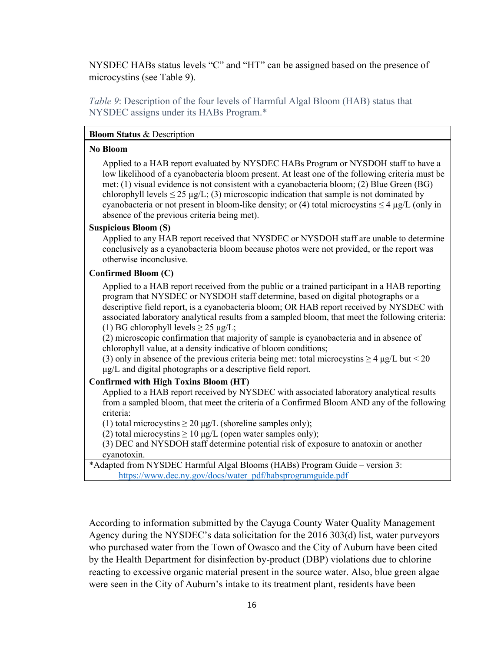NYSDEC HABs status levels "C" and "HT" can be assigned based on the presence of microcystins (see [Table 9\)](#page-17-0).

<span id="page-17-0"></span>*Table 9*: Description of the four levels of Harmful Algal Bloom (HAB) status that NYSDEC assigns under its HABs Program.\*

#### **Bloom Status** & Description

#### **No Bloom**

Applied to a HAB report evaluated by NYSDEC HABs Program or NYSDOH staff to have a low likelihood of a cyanobacteria bloom present. At least one of the following criteria must be met: (1) visual evidence is not consistent with a cyanobacteria bloom; (2) Blue Green (BG) chlorophyll levels  $\leq 25 \mu g/L$ ; (3) microscopic indication that sample is not dominated by cyanobacteria or not present in bloom-like density; or (4) total microcystins  $\leq 4 \mu g/L$  (only in absence of the previous criteria being met).

#### **Suspicious Bloom (S)**

Applied to any HAB report received that NYSDEC or NYSDOH staff are unable to determine conclusively as a cyanobacteria bloom because photos were not provided, or the report was otherwise inconclusive.

### **Confirmed Bloom (C)**

Applied to a HAB report received from the public or a trained participant in a HAB reporting program that NYSDEC or NYSDOH staff determine, based on digital photographs or a descriptive field report, is a cyanobacteria bloom; OR HAB report received by NYSDEC with associated laboratory analytical results from a sampled bloom, that meet the following criteria: (1) BG chlorophyll levels  $\geq$  25  $\mu$ g/L;

(2) microscopic confirmation that majority of sample is cyanobacteria and in absence of chlorophyll value, at a density indicative of bloom conditions;

(3) only in absence of the previous criteria being met: total microcystins  $\geq 4$  µg/L but < 20 μg/L and digital photographs or a descriptive field report.

### **Confirmed with High Toxins Bloom (HT)**

Applied to a HAB report received by NYSDEC with associated laboratory analytical results from a sampled bloom, that meet the criteria of a Confirmed Bloom AND any of the following criteria:

(1) total microcystins  $\geq 20 \mu g/L$  (shoreline samples only);

(2) total microcystins  $\geq 10 \mu g/L$  (open water samples only);

(3) DEC and NYSDOH staff determine potential risk of exposure to anatoxin or another cyanotoxin.

\*Adapted from NYSDEC Harmful Algal Blooms (HABs) Program Guide – version 3: [https://www.dec.ny.gov/docs/water\\_pdf/habsprogramguide.pdf](https://www.dec.ny.gov/docs/water_pdf/habsprogramguide.pdf)

According to information submitted by the Cayuga County Water Quality Management Agency during the NYSDEC's data solicitation for the 2016 303(d) list, water purveyors who purchased water from the Town of Owasco and the City of Auburn have been cited by the Health Department for disinfection by-product (DBP) violations due to chlorine reacting to excessive organic material present in the source water. Also, blue green algae were seen in the City of Auburn's intake to its treatment plant, residents have been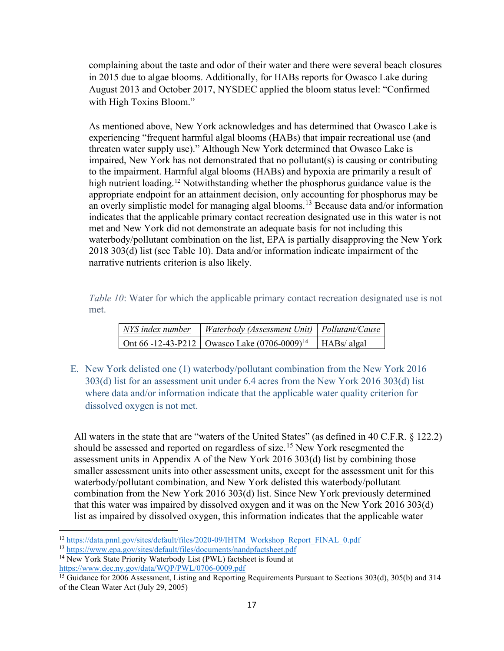complaining about the taste and odor of their water and there were several beach closures in 2015 due to algae blooms. Additionally, for HABs reports for Owasco Lake during August 2013 and October 2017, NYSDEC applied the bloom status level: "Confirmed with High Toxins Bloom."

As mentioned above, New York acknowledges and has determined that Owasco Lake is experiencing "frequent harmful algal blooms (HABs) that impair recreational use (and threaten water supply use)." Although New York determined that Owasco Lake is impaired, New York has not demonstrated that no pollutant(s) is causing or contributing to the impairment. Harmful algal blooms (HABs) and hypoxia are primarily a result of high nutrient loading.<sup>[12](#page-18-1)</sup> Notwithstanding whether the phosphorus guidance value is the appropriate endpoint for an attainment decision, only accounting for phosphorus may be an overly simplistic model for managing algal blooms. [13](#page-18-2) Because data and/or information indicates that the applicable primary contact recreation designated use in this water is not met and New York did not demonstrate an adequate basis for not including this waterbody/pollutant combination on the list, EPA is partially disapproving the New York 2018 303(d) list (see [Table 10\)](#page-18-0). Data and/or information indicate impairment of the narrative nutrients criterion is also likely.

<span id="page-18-0"></span>*Table 10*: Water for which the applicable primary contact recreation designated use is not met.

| NYS index number | <i>Waterbody (Assessment Unit) Pollutant/Cause</i>                |  |
|------------------|-------------------------------------------------------------------|--|
|                  | Ont 66 -12-43-P212   Owasco Lake $(0706-0009)^{14}$   HABs/ algal |  |

E. New York delisted one (1) waterbody/pollutant combination from the New York 2016 303(d) list for an assessment unit under 6.4 acres from the New York 2016 303(d) list where data and/or information indicate that the applicable water quality criterion for dissolved oxygen is not met.

All waters in the state that are "waters of the United States" (as defined in 40 C.F.R. § 122.2) should be assessed and reported on regardless of size.<sup>[15](#page-18-4)</sup> New York resegmented the assessment units in Appendix A of the New York 2016 303(d) list by combining those smaller assessment units into other assessment units, except for the assessment unit for this waterbody/pollutant combination, and New York delisted this waterbody/pollutant combination from the New York 2016 303(d) list. Since New York previously determined that this water was impaired by dissolved oxygen and it was on the New York 2016 303(d) list as impaired by dissolved oxygen, this information indicates that the applicable water

<span id="page-18-1"></span><sup>12</sup> [https://data.pnnl.gov/sites/default/files/2020-09/IHTM\\_Workshop\\_Report\\_FINAL\\_0.pdf](https://data.pnnl.gov/sites/default/files/2020-09/IHTM_Workshop_Report_FINAL_0.pdf)

<span id="page-18-2"></span><sup>13</sup> <https://www.epa.gov/sites/default/files/documents/nandpfactsheet.pdf>

<span id="page-18-3"></span><sup>&</sup>lt;sup>14</sup> New York State Priority Waterbody List (PWL) factsheet is found at <https://www.dec.ny.gov/data/WQP/PWL/0706-0009.pdf>

<span id="page-18-4"></span><sup>&</sup>lt;sup>15</sup> Guidance for 2006 Assessment, Listing and Reporting Requirements Pursuant to Sections 303(d), 305(b) and 314 of the Clean Water Act (July 29, 2005)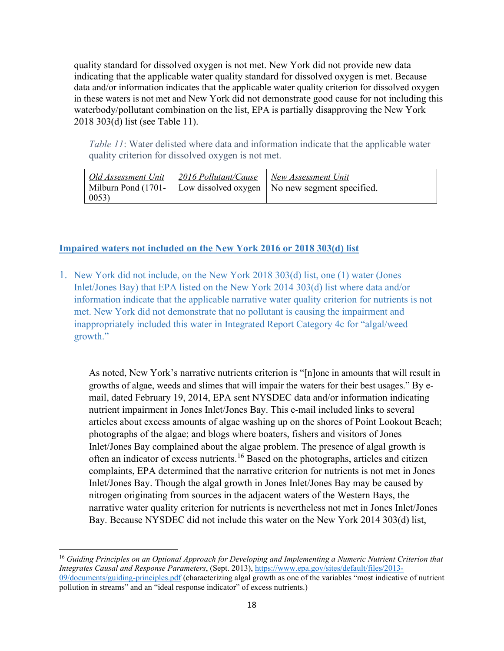quality standard for dissolved oxygen is not met. New York did not provide new data indicating that the applicable water quality standard for dissolved oxygen is met. Because data and/or information indicates that the applicable water quality criterion for dissolved oxygen in these waters is not met and New York did not demonstrate good cause for not including this waterbody/pollutant combination on the list, EPA is partially disapproving the New York 2018 303(d) list (see [Table 11\)](#page-19-0).

<span id="page-19-0"></span>*Table 11*: Water delisted where data and information indicate that the applicable water quality criterion for dissolved oxygen is not met.

|       | Old Assessment Unit   2016 Pollutant/Cause   New Assessment Unit |                                                                        |
|-------|------------------------------------------------------------------|------------------------------------------------------------------------|
|       |                                                                  | Milburn Pond (1701-   Low dissolved oxygen   No new segment specified. |
| 0053) |                                                                  |                                                                        |

### **Impaired waters not included on the New York 2016 or 2018 303(d) list**

1. New York did not include, on the New York 2018 303(d) list, one (1) water (Jones Inlet/Jones Bay) that EPA listed on the New York 2014 303(d) list where data and/or information indicate that the applicable narrative water quality criterion for nutrients is not met. New York did not demonstrate that no pollutant is causing the impairment and inappropriately included this water in Integrated Report Category 4c for "algal/weed growth."

As noted, New York's narrative nutrients criterion is "[n]one in amounts that will result in growths of algae, weeds and slimes that will impair the waters for their best usages." By email, dated February 19, 2014, EPA sent NYSDEC data and/or information indicating nutrient impairment in Jones Inlet/Jones Bay. This e-mail included links to several articles about excess amounts of algae washing up on the shores of Point Lookout Beach; photographs of the algae; and blogs where boaters, fishers and visitors of Jones Inlet/Jones Bay complained about the algae problem. The presence of algal growth is often an indicator of excess nutrients.[16](#page-19-1) Based on the photographs, articles and citizen complaints, EPA determined that the narrative criterion for nutrients is not met in Jones Inlet/Jones Bay. Though the algal growth in Jones Inlet/Jones Bay may be caused by nitrogen originating from sources in the adjacent waters of the Western Bays, the narrative water quality criterion for nutrients is nevertheless not met in Jones Inlet/Jones Bay. Because NYSDEC did not include this water on the New York 2014 303(d) list,

<span id="page-19-1"></span><sup>16</sup> *Guiding Principles on an Optional Approach for Developing and Implementing a Numeric Nutrient Criterion that Integrates Causal and Response Parameters*, (Sept. 2013), [https://www.epa.gov/sites/default/files/2013-](https://www.epa.gov/sites/default/files/2013-09/documents/guiding-principles.pdf) [09/documents/guiding-principles.pdf](https://www.epa.gov/sites/default/files/2013-09/documents/guiding-principles.pdf) (characterizing algal growth as one of the variables "most indicative of nutrient pollution in streams" and an "ideal response indicator" of excess nutrients.)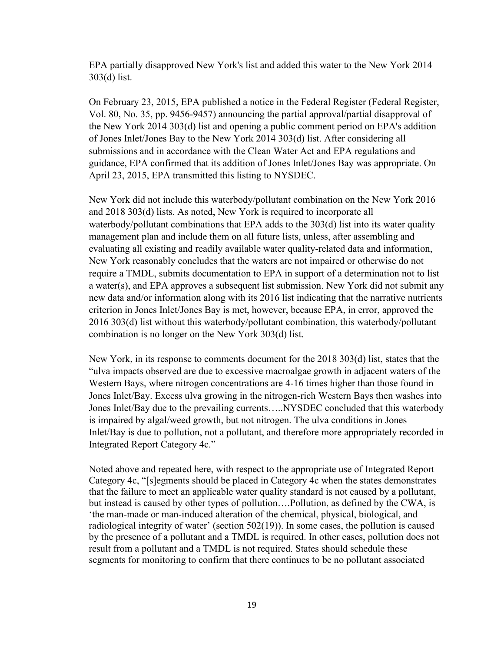EPA partially disapproved New York's list and added this water to the New York 2014 303(d) list.

On February 23, 2015, EPA published a notice in the Federal Register (Federal Register, Vol. 80, No. 35, pp. 9456-9457) announcing the partial approval/partial disapproval of the New York 2014 303(d) list and opening a public comment period on EPA's addition of Jones Inlet/Jones Bay to the New York 2014 303(d) list. After considering all submissions and in accordance with the Clean Water Act and EPA regulations and guidance, EPA confirmed that its addition of Jones Inlet/Jones Bay was appropriate. On April 23, 2015, EPA transmitted this listing to NYSDEC.

New York did not include this waterbody/pollutant combination on the New York 2016 and 2018 303(d) lists. As noted, New York is required to incorporate all waterbody/pollutant combinations that EPA adds to the 303(d) list into its water quality management plan and include them on all future lists, unless, after assembling and evaluating all existing and readily available water quality-related data and information, New York reasonably concludes that the waters are not impaired or otherwise do not require a TMDL, submits documentation to EPA in support of a determination not to list a water(s), and EPA approves a subsequent list submission. New York did not submit any new data and/or information along with its 2016 list indicating that the narrative nutrients criterion in Jones Inlet/Jones Bay is met, however, because EPA, in error, approved the 2016 303(d) list without this waterbody/pollutant combination, this waterbody/pollutant combination is no longer on the New York 303(d) list.

New York, in its response to comments document for the 2018 303(d) list, states that the "ulva impacts observed are due to excessive macroalgae growth in adjacent waters of the Western Bays, where nitrogen concentrations are 4-16 times higher than those found in Jones Inlet/Bay. Excess ulva growing in the nitrogen-rich Western Bays then washes into Jones Inlet/Bay due to the prevailing currents…..NYSDEC concluded that this waterbody is impaired by algal/weed growth, but not nitrogen. The ulva conditions in Jones Inlet/Bay is due to pollution, not a pollutant, and therefore more appropriately recorded in Integrated Report Category 4c."

Noted above and repeated here, with respect to the appropriate use of Integrated Report Category 4c, "[s]egments should be placed in Category 4c when the states demonstrates that the failure to meet an applicable water quality standard is not caused by a pollutant, but instead is caused by other types of pollution….Pollution, as defined by the CWA, is 'the man-made or man-induced alteration of the chemical, physical, biological, and radiological integrity of water' (section 502(19)). In some cases, the pollution is caused by the presence of a pollutant and a TMDL is required. In other cases, pollution does not result from a pollutant and a TMDL is not required. States should schedule these segments for monitoring to confirm that there continues to be no pollutant associated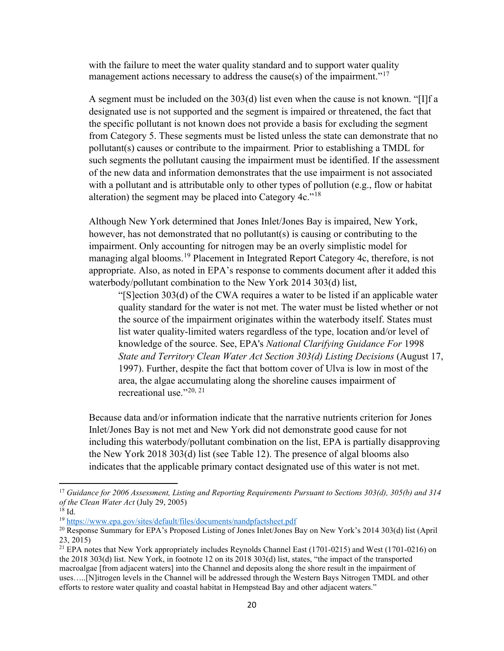with the failure to meet the water quality standard and to support water quality management actions necessary to address the cause(s) of the impairment."<sup>[17](#page-21-0)</sup>

A segment must be included on the 303(d) list even when the cause is not known. "[I]f a designated use is not supported and the segment is impaired or threatened, the fact that the specific pollutant is not known does not provide a basis for excluding the segment from Category 5. These segments must be listed unless the state can demonstrate that no pollutant(s) causes or contribute to the impairment*.* Prior to establishing a TMDL for such segments the pollutant causing the impairment must be identified. If the assessment of the new data and information demonstrates that the use impairment is not associated with a pollutant and is attributable only to other types of pollution (e.g., flow or habitat alteration) the segment may be placed into Category  $4c.^{18}$  $4c.^{18}$  $4c.^{18}$ 

Although New York determined that Jones Inlet/Jones Bay is impaired, New York, however, has not demonstrated that no pollutant(s) is causing or contributing to the impairment. Only accounting for nitrogen may be an overly simplistic model for managing algal blooms.<sup>[19](#page-21-2)</sup> Placement in Integrated Report Category 4c, therefore, is not appropriate. Also, as noted in EPA's response to comments document after it added this waterbody/pollutant combination to the New York 2014 303(d) list,

"[S]ection 303(d) of the CWA requires a water to be listed if an applicable water quality standard for the water is not met. The water must be listed whether or not the source of the impairment originates within the waterbody itself. States must list water quality-limited waters regardless of the type, location and/or level of knowledge of the source. See, EPA's *National Clarifying Guidance For* 1998 *State and Territory Clean Water Act Section 303(d) Listing Decisions* (August 17, 1997). Further, despite the fact that bottom cover of Ulva is low in most of the area, the algae accumulating along the shoreline causes impairment of recreational use." $20, 21$  $20, 21$  $20, 21$ 

Because data and/or information indicate that the narrative nutrients criterion for Jones Inlet/Jones Bay is not met and New York did not demonstrate good cause for not including this waterbody/pollutant combination on the list, EPA is partially disapproving the New York 2018 303(d) list (see [Table 12\)](#page-22-0). The presence of algal blooms also indicates that the applicable primary contact designated use of this water is not met.

<span id="page-21-0"></span><sup>17</sup> *Guidance for 2006 Assessment, Listing and Reporting Requirements Pursuant to Sections 303(d), 305(b) and 314 of the Clean Water Act* (July 29, 2005)

<span id="page-21-1"></span> $18$  Id.

<span id="page-21-2"></span><sup>19</sup> <https://www.epa.gov/sites/default/files/documents/nandpfactsheet.pdf>

<span id="page-21-3"></span><sup>20</sup> Response Summary for EPA's Proposed Listing of Jones Inlet/Jones Bay on New York's 2014 303(d) list (April 23, 2015)

<span id="page-21-4"></span><sup>&</sup>lt;sup>21</sup> EPA notes that New York appropriately includes Reynolds Channel East (1701-0215) and West (1701-0216) on the 2018 303(d) list. New York, in footnote 12 on its 2018 303(d) list, states, "the impact of the transported macroalgae [from adjacent waters] into the Channel and deposits along the shore result in the impairment of uses…..[N]itrogen levels in the Channel will be addressed through the Western Bays Nitrogen TMDL and other efforts to restore water quality and coastal habitat in Hempstead Bay and other adjacent waters."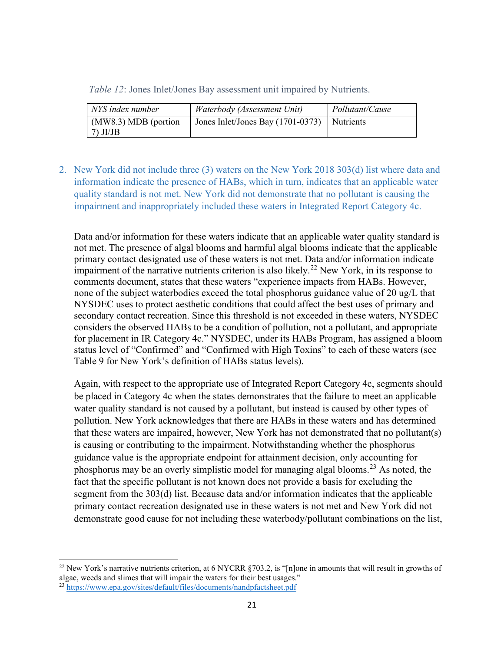<span id="page-22-0"></span>

|  | <i>Table 12: Jones Inlet/Jones Bay assessment unit impaired by Nutrients.</i> |  |
|--|-------------------------------------------------------------------------------|--|
|  |                                                                               |  |

| NYS index number                     | Waterbody (Assessment Unit)         | Pollutant/Cause |
|--------------------------------------|-------------------------------------|-----------------|
| $(MW8.3) MDB$ (portion<br>$7)$ JI/JB | Jones Inlet/Jones Bay $(1701-0373)$ | Nutrients       |

2. New York did not include three (3) waters on the New York 2018 303(d) list where data and information indicate the presence of HABs, which in turn, indicates that an applicable water quality standard is not met. New York did not demonstrate that no pollutant is causing the impairment and inappropriately included these waters in Integrated Report Category 4c.

Data and/or information for these waters indicate that an applicable water quality standard is not met. The presence of algal blooms and harmful algal blooms indicate that the applicable primary contact designated use of these waters is not met. Data and/or information indicate impairment of the narrative nutrients criterion is also likely.<sup>[22](#page-22-1)</sup> New York, in its response to comments document, states that these waters "experience impacts from HABs. However, none of the subject waterbodies exceed the total phosphorus guidance value of 20 ug/L that NYSDEC uses to protect aesthetic conditions that could affect the best uses of primary and secondary contact recreation. Since this threshold is not exceeded in these waters, NYSDEC considers the observed HABs to be a condition of pollution, not a pollutant, and appropriate for placement in IR Category 4c." NYSDEC, under its HABs Program, has assigned a bloom status level of "Confirmed" and "Confirmed with High Toxins" to each of these waters (see [Table 9](#page-17-0) for New York's definition of HABs status levels).

Again, with respect to the appropriate use of Integrated Report Category 4c, segments should be placed in Category 4c when the states demonstrates that the failure to meet an applicable water quality standard is not caused by a pollutant, but instead is caused by other types of pollution. New York acknowledges that there are HABs in these waters and has determined that these waters are impaired, however, New York has not demonstrated that no pollutant(s) is causing or contributing to the impairment. Notwithstanding whether the phosphorus guidance value is the appropriate endpoint for attainment decision, only accounting for phosphorus may be an overly simplistic model for managing algal blooms.<sup>[23](#page-22-2)</sup> As noted, the fact that the specific pollutant is not known does not provide a basis for excluding the segment from the 303(d) list. Because data and/or information indicates that the applicable primary contact recreation designated use in these waters is not met and New York did not demonstrate good cause for not including these waterbody/pollutant combinations on the list,

<span id="page-22-1"></span><sup>&</sup>lt;sup>22</sup> New York's narrative nutrients criterion, at 6 NYCRR  $\S703.2$ , is "[n]one in amounts that will result in growths of algae, weeds and slimes that will impair the waters for their best usages."

<span id="page-22-2"></span><sup>23</sup> <https://www.epa.gov/sites/default/files/documents/nandpfactsheet.pdf>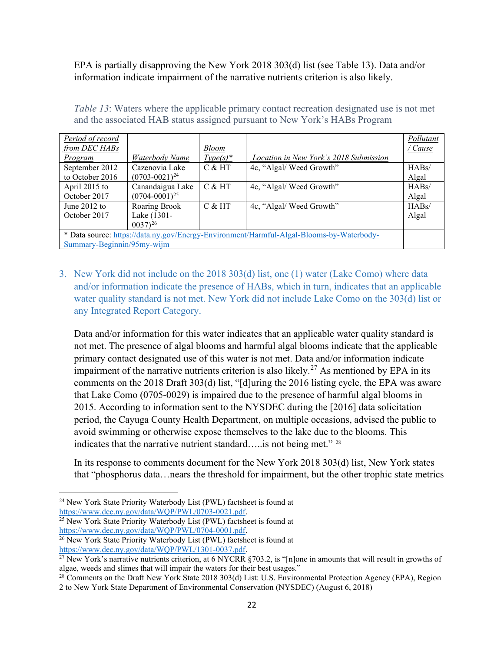EPA is partially disapproving the New York 2018 303(d) list (see [Table 13\)](#page-23-0). Data and/or information indicate impairment of the narrative nutrients criterion is also likely.

<span id="page-23-0"></span>*Table 13*: Waters where the applicable primary contact recreation designated use is not met and the associated HAB status assigned pursuant to New York's HABs Program

| Period of record<br>from DEC HABs                                                                                      |                                                | <b>Bloom</b> |                                               | Pollutant<br><u>/ Cause</u> |
|------------------------------------------------------------------------------------------------------------------------|------------------------------------------------|--------------|-----------------------------------------------|-----------------------------|
| Program                                                                                                                | Waterbody Name                                 | $Type(s)*$   | <i>Location in New York's 2018 Submission</i> |                             |
| September 2012<br>to October 2016                                                                                      | Cazenovia Lake<br>$(0703 - 0021)^{24}$         | $C & H$ T    | 4c, "Algal/Weed Growth"                       | HABs/<br>Algal              |
| April 2015 to<br>October 2017                                                                                          | Canandaigua Lake<br>$(0704 - 0001)^{25}$       | $C$ & HT     | 4c, "Algal/Weed Growth"                       | HABs/<br>Algal              |
| June $2012$ to<br>October 2017                                                                                         | Roaring Brook<br>Lake (1301-<br>$(0.037)^{26}$ | $C$ & HT     | 4c, "Algal/Weed Growth"                       | HABs/<br>Algal              |
| * Data source: https://data.ny.gov/Energy-Environment/Harmful-Algal-Blooms-by-Waterbody-<br>Summary-Beginnin/95my-wijm |                                                |              |                                               |                             |

3. New York did not include on the 2018 303(d) list, one (1) water (Lake Como) where data and/or information indicate the presence of HABs, which in turn, indicates that an applicable water quality standard is not met. New York did not include Lake Como on the 303(d) list or any Integrated Report Category.

Data and/or information for this water indicates that an applicable water quality standard is not met. The presence of algal blooms and harmful algal blooms indicate that the applicable primary contact designated use of this water is not met. Data and/or information indicate impairment of the narrative nutrients criterion is also likely.<sup>[27](#page-23-4)</sup> As mentioned by EPA in its comments on the 2018 Draft 303(d) list, "[d]uring the 2016 listing cycle, the EPA was aware that Lake Como (0705-0029) is impaired due to the presence of harmful algal blooms in 2015. According to information sent to the NYSDEC during the [2016] data solicitation period, the Cayuga County Health Department, on multiple occasions, advised the public to avoid swimming or otherwise expose themselves to the lake due to the blooms. This indicates that the narrative nutrient standard…..is not being met." [28](#page-23-5)

In its response to comments document for the New York 2018 303(d) list, New York states that "phosphorus data…nears the threshold for impairment, but the other trophic state metrics

<span id="page-23-3"></span> $\frac{1}{26}$  New York State Priority Waterbody List (PWL) factsheet is found at https://www.dec.ny.gov/data/WOP/PWL/1301-0037.pdf.

<span id="page-23-1"></span><sup>&</sup>lt;sup>24</sup> New York State Priority Waterbody List (PWL) factsheet is found at https://www.dec.ny.gov/data/WQP/PWL/0703-0021.pdf.

<span id="page-23-2"></span> $\frac{25 \text{ New York State Priority Waterbody List (PWL) factsheet is found at   
https://www.dec.ny.gov/data/WQP/PWL/0704-0001.pdf.}$ 

<span id="page-23-4"></span><sup>&</sup>lt;sup>27</sup> New York's narrative nutrients criterion, at 6 NYCRR §703.2, is "[n]one in amounts that will result in growths of algae, weeds and slimes that will impair the waters for their best usages."

<span id="page-23-5"></span><sup>&</sup>lt;sup>28</sup> Comments on the Draft New York State 2018 303(d) List: U.S. Environmental Protection Agency (EPA), Region 2 to New York State Department of Environmental Conservation (NYSDEC) (August 6, 2018)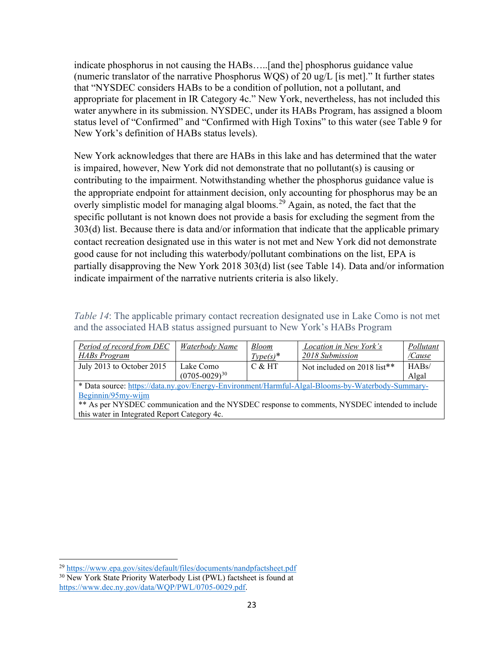indicate phosphorus in not causing the HABs…..[and the] phosphorus guidance value (numeric translator of the narrative Phosphorus WQS) of 20 ug/L [is met]." It further states that "NYSDEC considers HABs to be a condition of pollution, not a pollutant, and appropriate for placement in IR Category 4c." New York, nevertheless, has not included this water anywhere in its submission. NYSDEC, under its HABs Program, has assigned a bloom status level of "Confirmed" and "Confirmed with High Toxins" to this water (see [Table 9](#page-17-0) for New York's definition of HABs status levels).

New York acknowledges that there are HABs in this lake and has determined that the water is impaired, however, New York did not demonstrate that no pollutant(s) is causing or contributing to the impairment. Notwithstanding whether the phosphorus guidance value is the appropriate endpoint for attainment decision, only accounting for phosphorus may be an overly simplistic model for managing algal blooms.<sup>[29](#page-24-2)</sup> Again, as noted, the fact that the specific pollutant is not known does not provide a basis for excluding the segment from the 303(d) list. Because there is data and/or information that indicate that the applicable primary contact recreation designated use in this water is not met and New York did not demonstrate good cause for not including this waterbody/pollutant combinations on the list, EPA is partially disapproving the New York 2018 303(d) list (see [Table 14\)](#page-24-1). Data and/or information indicate impairment of the narrative nutrients criteria is also likely.

<span id="page-24-1"></span>*Table 14*: The applicable primary contact recreation designated use in Lake Como is not met and the associated HAB status assigned pursuant to New York's HABs Program

| Period of record from DEC<br>HABs Program | Waterbody Name                    | <b>Bloom</b><br>$Type(s)^*$ | Location in New York's<br>2018 Submission | Pollutant<br>'Cause |
|-------------------------------------------|-----------------------------------|-----------------------------|-------------------------------------------|---------------------|
| July 2013 to October 2015                 | Lake Como<br>$(0705 - 0029)^{30}$ | $C$ & HT                    | Not included on 2018 list**               | HABs/<br>Algal      |
| $\cdot$ $\sim$ $\cdot$                    |                                   |                             |                                           |                     |

\* Data source[: https://data.ny.gov/Energy-Environment/Harmful-Algal-Blooms-by-Waterbody-Summary-](https://data.ny.gov/Energy-Environment/Harmful-Algal-Blooms-by-Waterbody-Summary-Beginnin/95my-wijm)[Beginnin/95my-wijm](https://data.ny.gov/Energy-Environment/Harmful-Algal-Blooms-by-Waterbody-Summary-Beginnin/95my-wijm)

<span id="page-24-0"></span>\*\* As per NYSDEC communication and the NYSDEC response to comments, NYSDEC intended to include this water in Integrated Report Category 4c.

<span id="page-24-2"></span><sup>29</sup> <https://www.epa.gov/sites/default/files/documents/nandpfactsheet.pdf>

<span id="page-24-3"></span><sup>&</sup>lt;sup>30</sup> New York State Priority Waterbody List (PWL) factsheet is found at [https://www.dec.ny.gov/data/WQP/PWL/0705-0029.pdf.](https://www.dec.ny.gov/data/WQP/PWL/0705-0029.pdf)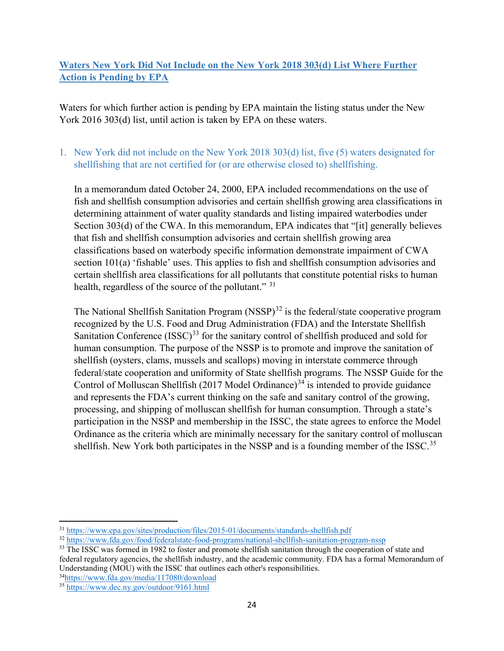## **Waters New York Did Not Include on the New York 2018 303(d) List Where Further Action is Pending by EPA**

Waters for which further action is pending by EPA maintain the listing status under the New York 2016 303(d) list, until action is taken by EPA on these waters.

## 1. New York did not include on the New York 2018 303(d) list, five (5) waters designated for shellfishing that are not certified for (or are otherwise closed to) shellfishing.

In a memorandum dated October 24, 2000, EPA included recommendations on the use of fish and shellfish consumption advisories and certain shellfish growing area classifications in determining attainment of water quality standards and listing impaired waterbodies under Section 303(d) of the CWA. In this memorandum, EPA indicates that "[it] generally believes that fish and shellfish consumption advisories and certain shellfish growing area classifications based on waterbody specific information demonstrate impairment of CWA section 101(a) 'fishable' uses. This applies to fish and shellfish consumption advisories and certain shellfish area classifications for all pollutants that constitute potential risks to human health, regardless of the source of the pollutant." [31](#page-25-0)

The National Shellfish Sanitation Program  $(NSSP)^{32}$  $(NSSP)^{32}$  $(NSSP)^{32}$  is the federal/state cooperative program recognized by the U.S. Food and Drug Administration (FDA) and the Interstate Shellfish Sanitation Conference  $(ISSC)^{33}$  $(ISSC)^{33}$  $(ISSC)^{33}$  for the sanitary control of shellfish produced and sold for human consumption. The purpose of the NSSP is to promote and improve the sanitation of shellfish (oysters, clams, mussels and scallops) moving in interstate commerce through federal/state cooperation and uniformity of State shellfish programs. The NSSP Guide for the Control of Molluscan Shellfish (2017 Model Ordinance)<sup>[34](#page-25-3)</sup> is intended to provide guidance and represents the FDA's current thinking on the safe and sanitary control of the growing, processing, and shipping of molluscan shellfish for human consumption. Through a state's participation in the NSSP and membership in the ISSC, the state agrees to enforce the Model Ordinance as the criteria which are minimally necessary for the sanitary control of molluscan shellfish. New York both participates in the NSSP and is a founding member of the ISSC.<sup>[35](#page-25-4)</sup>

<span id="page-25-3"></span>3[4https://www.fda.gov/media/117080/download](https://www.fda.gov/media/117080/download)

<span id="page-25-0"></span><sup>31</sup> <https://www.epa.gov/sites/production/files/2015-01/documents/standards-shellfish.pdf>

<span id="page-25-1"></span><sup>32</sup> <https://www.fda.gov/food/federalstate-food-programs/national-shellfish-sanitation-program-nssp>

<span id="page-25-2"></span><sup>&</sup>lt;sup>33</sup> The ISSC was formed in 1982 to foster and promote shellfish sanitation through the cooperation of state and federal regulatory agencies, the shellfish industry, and the academic community. FDA has a formal Memorandum of Understanding (MOU) with the ISSC that outlines each other's responsibilities.

<span id="page-25-4"></span><sup>35</sup> <https://www.dec.ny.gov/outdoor/9161.html>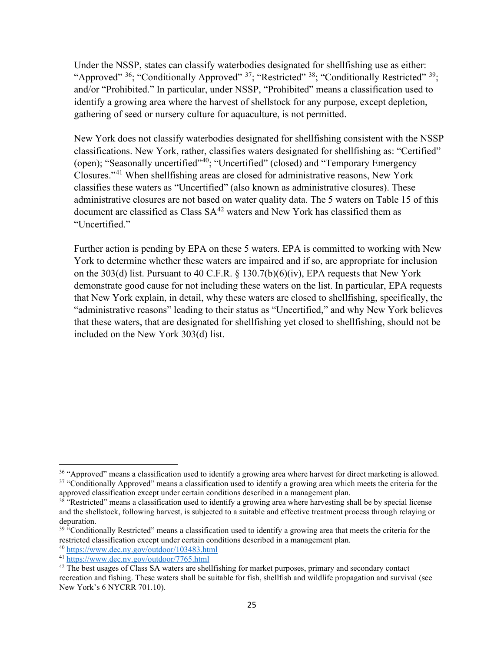Under the NSSP, states can classify waterbodies designated for shellfishing use as either: "Approved"  $36$ ; "Conditionally Approved"  $37$ ; "Restricted"  $38$ ; "Conditionally Restricted"  $39$ ; and/or "Prohibited." In particular, under NSSP, "Prohibited" means a classification used to identify a growing area where the harvest of shellstock for any purpose, except depletion, gathering of seed or nursery culture for aquaculture, is not permitted.

New York does not classify waterbodies designated for shellfishing consistent with the NSSP classifications. New York, rather, classifies waters designated for shellfishing as: "Certified" (open); "Seasonally uncertified"<sup>40</sup>; "Uncertified" (closed) and "Temporary Emergency Closures."[41](#page-26-5) When shellfishing areas are closed for administrative reasons, New York classifies these waters as "Uncertified" (also known as administrative closures). These administrative closures are not based on water quality data. The 5 waters on [Table 15](#page-27-0) of this document are classified as Class  $SA^{42}$  $SA^{42}$  $SA^{42}$  waters and New York has classified them as "Uncertified."

Further action is pending by EPA on these 5 waters. EPA is committed to working with New York to determine whether these waters are impaired and if so, are appropriate for inclusion on the 303(d) list. Pursuant to 40 C.F.R. § 130.7(b)(6)(iv), EPA requests that New York demonstrate good cause for not including these waters on the list. In particular, EPA requests that New York explain, in detail, why these waters are closed to shellfishing, specifically, the "administrative reasons" leading to their status as "Uncertified," and why New York believes that these waters, that are designated for shellfishing yet closed to shellfishing, should not be included on the New York 303(d) list.

<span id="page-26-1"></span><span id="page-26-0"></span><sup>&</sup>lt;sup>36</sup> "Approved" means a classification used to identify a growing area where harvest for direct marketing is allowed. <sup>37</sup> "Conditionally Approved" means a classification used to identify a growing area which meets the criteria for the approved classification except under certain conditions described in a management plan.

<span id="page-26-2"></span><sup>&</sup>lt;sup>38</sup> "Restricted" means a classification used to identify a growing area where harvesting shall be by special license and the shellstock, following harvest, is subjected to a suitable and effective treatment process through relaying or depuration.

<span id="page-26-3"></span> $39$  "Conditionally Restricted" means a classification used to identify a growing area that meets the criteria for the restricted classification except under certain conditions described in a management plan.

<span id="page-26-4"></span><sup>40</sup> <https://www.dec.ny.gov/outdoor/103483.html>

<span id="page-26-5"></span><sup>41</sup> <https://www.dec.ny.gov/outdoor/7765.html>

<span id="page-26-6"></span><sup>&</sup>lt;sup>42</sup> The best usages of Class SA waters are shellfishing for market purposes, primary and secondary contact recreation and fishing. These waters shall be suitable for fish, shellfish and wildlife propagation and survival (see New York's 6 NYCRR 701.10).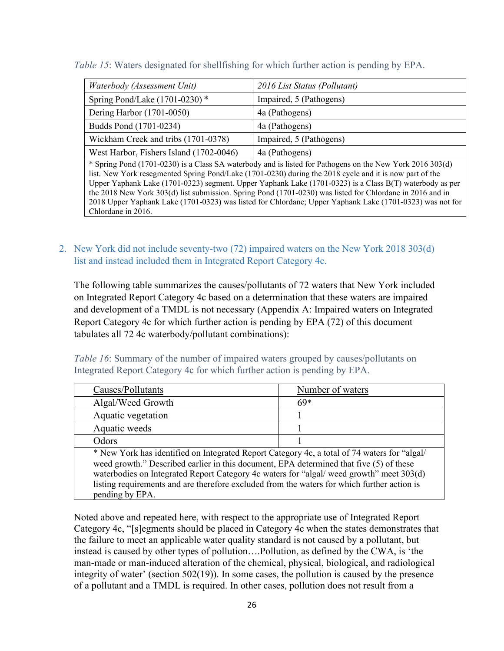<span id="page-27-0"></span>*Table 15*: Waters designated for shellfishing for which further action is pending by EPA.

| Waterbody (Assessment Unit)             | 2016 List Status (Pollutant) |
|-----------------------------------------|------------------------------|
| Spring Pond/Lake $(1701-0230)$ *        | Impaired, 5 (Pathogens)      |
| Dering Harbor (1701-0050)               | 4a (Pathogens)               |
| Budds Pond (1701-0234)                  | 4a (Pathogens)               |
| Wickham Creek and tribs (1701-0378)     | Impaired, 5 (Pathogens)      |
| West Harbor, Fishers Island (1702-0046) | 4a (Pathogens)               |

\* Spring Pond (1701-0230) is a Class SA waterbody and is listed for Pathogens on the New York 2016 303(d) list. New York resegmented Spring Pond/Lake (1701-0230) during the 2018 cycle and it is now part of the Upper Yaphank Lake (1701-0323) segment. Upper Yaphank Lake (1701-0323) is a Class B(T) waterbody as per the 2018 New York 303(d) list submission. Spring Pond (1701-0230) was listed for Chlordane in 2016 and in 2018 Upper Yaphank Lake (1701-0323) was listed for Chlordane; Upper Yaphank Lake (1701-0323) was not for Chlordane in 2016.

2. New York did not include seventy-two (72) impaired waters on the New York 2018 303(d) list and instead included them in Integrated Report Category 4c.

The following table summarizes the causes/pollutants of 72 waters that New York included on Integrated Report Category 4c based on a determination that these waters are impaired and development of a TMDL is not necessary [\(Appendix A: Impaired waters on Integrated](#page-38-0)  [Report Category 4c for which further action is pending by EPA](#page-38-0) (72) of this document tabulates all 72 4c waterbody/pollutant combinations):

<span id="page-27-1"></span>*Table 16*: Summary of the number of impaired waters grouped by causes/pollutants on Integrated Report Category 4c for which further action is pending by EPA.

| Causes/Pollutants                                                                                                                                                                                                                                                                                                                                                                                     | Number of waters |  |
|-------------------------------------------------------------------------------------------------------------------------------------------------------------------------------------------------------------------------------------------------------------------------------------------------------------------------------------------------------------------------------------------------------|------------------|--|
| Algal/Weed Growth                                                                                                                                                                                                                                                                                                                                                                                     | $69*$            |  |
| Aquatic vegetation                                                                                                                                                                                                                                                                                                                                                                                    |                  |  |
| Aquatic weeds                                                                                                                                                                                                                                                                                                                                                                                         |                  |  |
| Odors                                                                                                                                                                                                                                                                                                                                                                                                 |                  |  |
| * New York has identified on Integrated Report Category 4c, a total of 74 waters for "algal/<br>weed growth." Described earlier in this document, EPA determined that five (5) of these<br>waterbodies on Integrated Report Category 4c waters for "algal/ weed growth" meet 303(d)<br>listing requirements and are therefore excluded from the waters for which further action is<br>pending by EPA. |                  |  |

Noted above and repeated here, with respect to the appropriate use of Integrated Report Category 4c, "[s]egments should be placed in Category 4c when the states demonstrates that the failure to meet an applicable water quality standard is not caused by a pollutant, but instead is caused by other types of pollution….Pollution, as defined by the CWA, is 'the man-made or man-induced alteration of the chemical, physical, biological, and radiological integrity of water' (section 502(19)). In some cases, the pollution is caused by the presence of a pollutant and a TMDL is required. In other cases, pollution does not result from a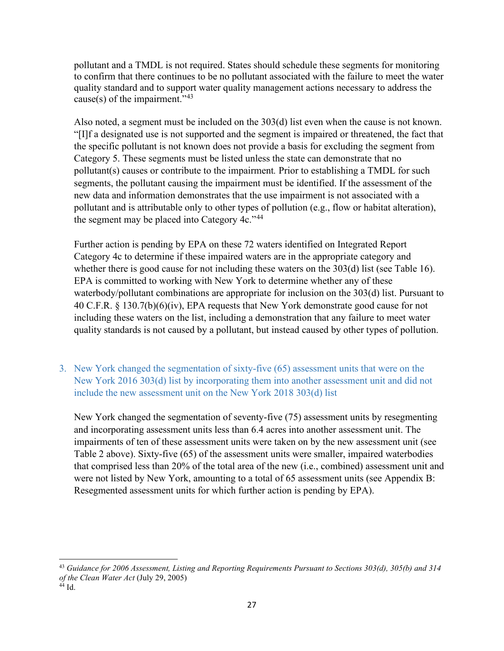pollutant and a TMDL is not required. States should schedule these segments for monitoring to confirm that there continues to be no pollutant associated with the failure to meet the water quality standard and to support water quality management actions necessary to address the cause(s) of the impairment." $43$ 

Also noted, a segment must be included on the 303(d) list even when the cause is not known. "[I]f a designated use is not supported and the segment is impaired or threatened, the fact that the specific pollutant is not known does not provide a basis for excluding the segment from Category 5. These segments must be listed unless the state can demonstrate that no pollutant(s) causes or contribute to the impairment*.* Prior to establishing a TMDL for such segments, the pollutant causing the impairment must be identified. If the assessment of the new data and information demonstrates that the use impairment is not associated with a pollutant and is attributable only to other types of pollution (e.g., flow or habitat alteration), the segment may be placed into Category  $4c.^{44}$  $4c.^{44}$  $4c.^{44}$ .

Further action is pending by EPA on these 72 waters identified on Integrated Report Category 4c to determine if these impaired waters are in the appropriate category and whether there is good cause for not including these waters on the 303(d) list (see [Table 16\)](#page-27-1). EPA is committed to working with New York to determine whether any of these waterbody/pollutant combinations are appropriate for inclusion on the 303(d) list. Pursuant to 40 C.F.R. § 130.7(b)(6)(iv), EPA requests that New York demonstrate good cause for not including these waters on the list, including a demonstration that any failure to meet water quality standards is not caused by a pollutant, but instead caused by other types of pollution.

3. New York changed the segmentation of sixty-five (65) assessment units that were on the New York 2016 303(d) list by incorporating them into another assessment unit and did not include the new assessment unit on the New York 2018 303(d) list

New York changed the segmentation of seventy-five (75) assessment units by resegmenting and incorporating assessment units less than 6.4 acres into another assessment unit. The impairments of ten of these assessment units were taken on by the new assessment unit (see [Table 2](#page-9-0) above). Sixty-five (65) of the assessment units were smaller, impaired waterbodies that comprised less than 20% of the total area of the new (i.e., combined) assessment unit and were not listed by New York, amounting to a total of 65 assessment units (see [Appendix B:](#page-42-0)  [Resegmented assessment units for which further action is pending by EPA\)](#page-42-0).

<span id="page-28-1"></span><span id="page-28-0"></span><sup>43</sup> *Guidance for 2006 Assessment, Listing and Reporting Requirements Pursuant to Sections 303(d), 305(b) and 314 of the Clean Water Act* (July 29, 2005)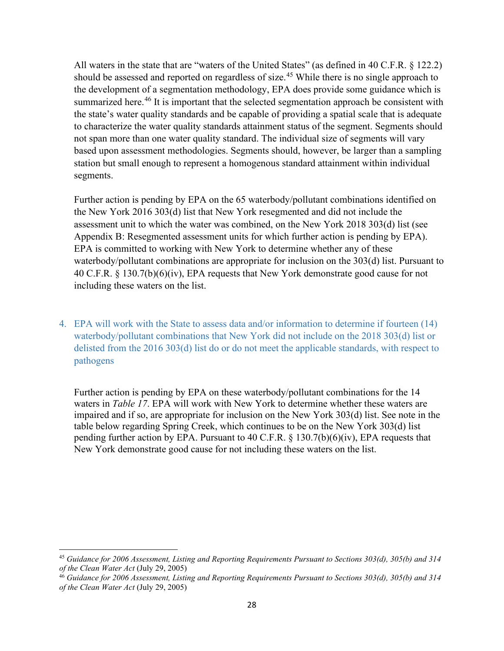All waters in the state that are "waters of the United States" (as defined in 40 C.F.R. § 122.2) should be assessed and reported on regardless of size.<sup>[45](#page-29-1)</sup> While there is no single approach to the development of a segmentation methodology, EPA does provide some guidance which is summarized here.<sup>[46](#page-29-2)</sup> It is important that the selected segmentation approach be consistent with the state's water quality standards and be capable of providing a spatial scale that is adequate to characterize the water quality standards attainment status of the segment. Segments should not span more than one water quality standard. The individual size of segments will vary based upon assessment methodologies. Segments should, however, be larger than a sampling station but small enough to represent a homogenous standard attainment within individual segments.

Further action is pending by EPA on the 65 waterbody/pollutant combinations identified on the New York 2016 303(d) list that New York resegmented and did not include the assessment unit to which the water was combined, on the New York 2018 303(d) list (see [Appendix B: Resegmented assessment units for which further action is pending by EPA\)](#page-42-0). EPA is committed to working with New York to determine whether any of these waterbody/pollutant combinations are appropriate for inclusion on the 303(d) list. Pursuant to 40 C.F.R. § 130.7(b)(6)(iv), EPA requests that New York demonstrate good cause for not including these waters on the list.

4. EPA will work with the State to assess data and/or information to determine if fourteen (14) waterbody/pollutant combinations that New York did not include on the 2018 303(d) list or delisted from the 2016 303(d) list do or do not meet the applicable standards, with respect to pathogens

<span id="page-29-0"></span>Further action is pending by EPA on these waterbody/pollutant combinations for the 14 waters in *[Table 17](#page-29-0)*. EPA will work with New York to determine whether these waters are impaired and if so, are appropriate for inclusion on the New York 303(d) list. See note in the table below regarding Spring Creek, which continues to be on the New York 303(d) list pending further action by EPA. Pursuant to 40 C.F.R. § 130.7(b)(6)(iv), EPA requests that New York demonstrate good cause for not including these waters on the list.

<span id="page-29-1"></span><sup>45</sup> *Guidance for 2006 Assessment, Listing and Reporting Requirements Pursuant to Sections 303(d), 305(b) and 314 of the Clean Water Act* (July 29, 2005)

<span id="page-29-2"></span><sup>46</sup> *Guidance for 2006 Assessment, Listing and Reporting Requirements Pursuant to Sections 303(d), 305(b) and 314 of the Clean Water Act* (July 29, 2005)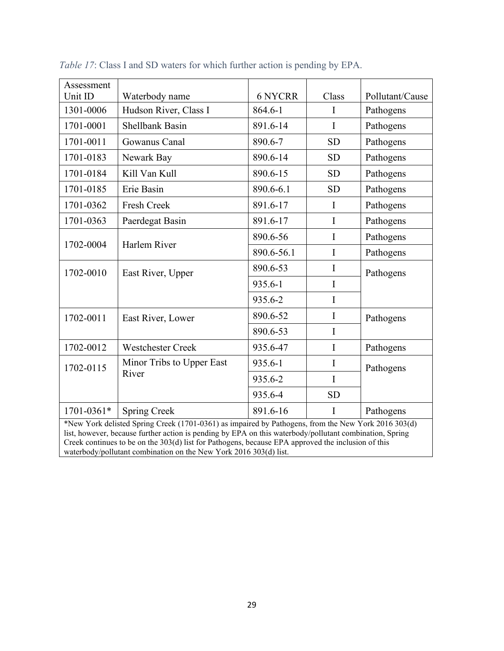| Assessment                                                                                                                                                                                                                                                                                                                                                                                |                                                   |                |             |                 |  |
|-------------------------------------------------------------------------------------------------------------------------------------------------------------------------------------------------------------------------------------------------------------------------------------------------------------------------------------------------------------------------------------------|---------------------------------------------------|----------------|-------------|-----------------|--|
| Unit ID                                                                                                                                                                                                                                                                                                                                                                                   | Waterbody name                                    | <b>6 NYCRR</b> | Class       | Pollutant/Cause |  |
| 1301-0006                                                                                                                                                                                                                                                                                                                                                                                 | Hudson River, Class I                             | 864.6-1        | I           | Pathogens       |  |
| 1701-0001                                                                                                                                                                                                                                                                                                                                                                                 | <b>Shellbank Basin</b>                            | 891.6-14       | I           | Pathogens       |  |
| 1701-0011                                                                                                                                                                                                                                                                                                                                                                                 | Gowanus Canal                                     | 890.6-7        | <b>SD</b>   | Pathogens       |  |
| 1701-0183                                                                                                                                                                                                                                                                                                                                                                                 | Newark Bay                                        | 890.6-14       | <b>SD</b>   | Pathogens       |  |
| 1701-0184                                                                                                                                                                                                                                                                                                                                                                                 | Kill Van Kull                                     | 890.6-15       | <b>SD</b>   | Pathogens       |  |
| 1701-0185                                                                                                                                                                                                                                                                                                                                                                                 | Erie Basin                                        | 890.6-6.1      | <b>SD</b>   | Pathogens       |  |
| 1701-0362                                                                                                                                                                                                                                                                                                                                                                                 | Fresh Creek                                       | 891.6-17       | I           | Pathogens       |  |
| 1701-0363                                                                                                                                                                                                                                                                                                                                                                                 | Paerdegat Basin                                   | 891.6-17       | I           | Pathogens       |  |
| 1702-0004                                                                                                                                                                                                                                                                                                                                                                                 | Harlem River                                      | 890.6-56       | I           | Pathogens       |  |
|                                                                                                                                                                                                                                                                                                                                                                                           |                                                   | 890.6-56.1     | I           | Pathogens       |  |
| 1702-0010                                                                                                                                                                                                                                                                                                                                                                                 | East River, Upper                                 | 890.6-53       | $\mathbf I$ | Pathogens       |  |
|                                                                                                                                                                                                                                                                                                                                                                                           |                                                   | 935.6-1        | $\mathbf I$ |                 |  |
|                                                                                                                                                                                                                                                                                                                                                                                           |                                                   | 935.6-2        | I           |                 |  |
| 1702-0011                                                                                                                                                                                                                                                                                                                                                                                 | East River, Lower                                 | 890.6-52       | I           | Pathogens       |  |
|                                                                                                                                                                                                                                                                                                                                                                                           |                                                   | 890.6-53       | I           |                 |  |
| 1702-0012                                                                                                                                                                                                                                                                                                                                                                                 | <b>Westchester Creek</b>                          | 935.6-47       | I           | Pathogens       |  |
| 1702-0115                                                                                                                                                                                                                                                                                                                                                                                 | Minor Tribs to Upper East<br>River                | 935.6-1        | I           | Pathogens       |  |
|                                                                                                                                                                                                                                                                                                                                                                                           |                                                   | 935.6-2        | I           |                 |  |
|                                                                                                                                                                                                                                                                                                                                                                                           |                                                   | 935.6-4        | <b>SD</b>   |                 |  |
| 1701-0361*                                                                                                                                                                                                                                                                                                                                                                                | <b>Spring Creek</b><br>891.6-16<br>I<br>Pathogens |                |             |                 |  |
| *New York delisted Spring Creek (1701-0361) as impaired by Pathogens, from the New York 2016 303(d)<br>list, however, because further action is pending by EPA on this waterbody/pollutant combination, Spring<br>Creek continues to be on the 303(d) list for Pathogens, because EPA approved the inclusion of this<br>waterbody/pollutant combination on the New York 2016 303(d) list. |                                                   |                |             |                 |  |

*Table 17*: Class I and SD waters for which further action is pending by EPA.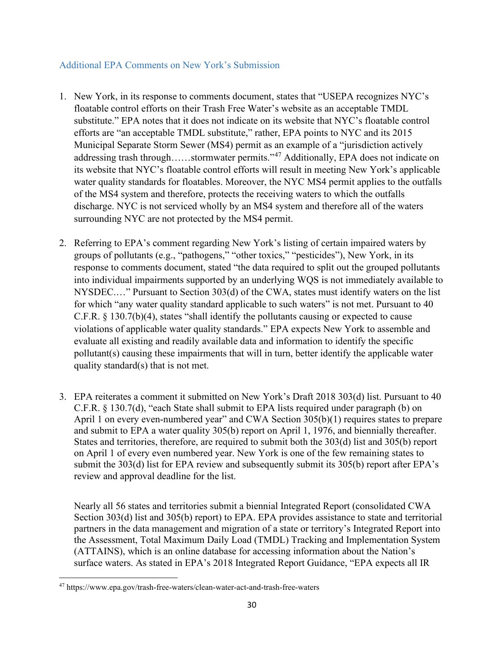### Additional EPA Comments on New York's Submission

- 1. New York, in its response to comments document, states that "USEPA recognizes NYC's floatable control efforts on their Trash Free Water's website as an acceptable TMDL substitute." EPA notes that it does not indicate on its website that NYC's floatable control efforts are "an acceptable TMDL substitute," rather, EPA points to NYC and its 2015 Municipal Separate Storm Sewer (MS4) permit as an example of a "jurisdiction actively addressing trash through……stormwater permits."<sup>[47](#page-31-0)</sup> Additionally, EPA does not indicate on its website that NYC's floatable control efforts will result in meeting New York's applicable water quality standards for floatables. Moreover, the NYC MS4 permit applies to the outfalls of the MS4 system and therefore, protects the receiving waters to which the outfalls discharge. NYC is not serviced wholly by an MS4 system and therefore all of the waters surrounding NYC are not protected by the MS4 permit.
- 2. Referring to EPA's comment regarding New York's listing of certain impaired waters by groups of pollutants (e.g., "pathogens," "other toxics," "pesticides"), New York, in its response to comments document, stated "the data required to split out the grouped pollutants into individual impairments supported by an underlying WQS is not immediately available to NYSDEC.…" Pursuant to Section 303(d) of the CWA, states must identify waters on the list for which "any water quality standard applicable to such waters" is not met. Pursuant to 40 C.F.R. § 130.7(b)(4), states "shall identify the pollutants causing or expected to cause violations of applicable water quality standards." EPA expects New York to assemble and evaluate all existing and readily available data and information to identify the specific pollutant(s) causing these impairments that will in turn, better identify the applicable water quality standard(s) that is not met.
- 3. EPA reiterates a comment it submitted on New York's Draft 2018 303(d) list. Pursuant to 40 C.F.R. § 130.7(d), "each State shall submit to EPA lists required under paragraph (b) on April 1 on every even-numbered year" and CWA Section 305(b)(1) requires states to prepare and submit to EPA a water quality 305(b) report on April 1, 1976, and biennially thereafter. States and territories, therefore, are required to submit both the 303(d) list and 305(b) report on April 1 of every even numbered year. New York is one of the few remaining states to submit the 303(d) list for EPA review and subsequently submit its 305(b) report after EPA's review and approval deadline for the list.

Nearly all 56 states and territories submit a biennial Integrated Report (consolidated CWA Section 303(d) list and 305(b) report) to EPA. EPA provides assistance to state and territorial partners in the data management and migration of a state or territory's Integrated Report into the Assessment, Total Maximum Daily Load (TMDL) Tracking and Implementation System (ATTAINS), which is an online database for accessing information about the Nation's surface waters. As stated in EPA's 2018 Integrated Report Guidance, "EPA expects all IR

<span id="page-31-0"></span><sup>47</sup> https://www.epa.gov/trash-free-waters/clean-water-act-and-trash-free-waters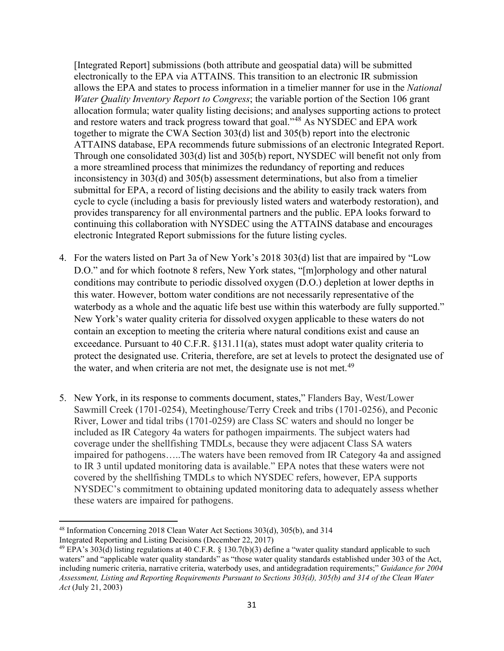[Integrated Report] submissions (both attribute and geospatial data) will be submitted electronically to the EPA via ATTAINS. This transition to an electronic IR submission allows the EPA and states to process information in a timelier manner for use in the *National Water Quality Inventory Report to Congress*; the variable portion of the Section 106 grant allocation formula; water quality listing decisions; and analyses supporting actions to protect and restore waters and track progress toward that goal."[48](#page-32-0) As NYSDEC and EPA work together to migrate the CWA Section 303(d) list and 305(b) report into the electronic ATTAINS database, EPA recommends future submissions of an electronic Integrated Report. Through one consolidated 303(d) list and 305(b) report, NYSDEC will benefit not only from a more streamlined process that minimizes the redundancy of reporting and reduces inconsistency in 303(d) and 305(b) assessment determinations, but also from a timelier submittal for EPA, a record of listing decisions and the ability to easily track waters from cycle to cycle (including a basis for previously listed waters and waterbody restoration), and provides transparency for all environmental partners and the public. EPA looks forward to continuing this collaboration with NYSDEC using the ATTAINS database and encourages electronic Integrated Report submissions for the future listing cycles.

- 4. For the waters listed on Part 3a of New York's 2018 303(d) list that are impaired by "Low D.O." and for which footnote 8 refers, New York states, "[m]orphology and other natural conditions may contribute to periodic dissolved oxygen (D.O.) depletion at lower depths in this water. However, bottom water conditions are not necessarily representative of the waterbody as a whole and the aquatic life best use within this waterbody are fully supported." New York's water quality criteria for dissolved oxygen applicable to these waters do not contain an exception to meeting the criteria where natural conditions exist and cause an exceedance. Pursuant to 40 C.F.R. §131.11(a), states must adopt water quality criteria to protect the designated use. Criteria, therefore, are set at levels to protect the designated use of the water, and when criteria are not met, the designate use is not met.<sup>[49](#page-32-1)</sup>
- 5. New York, in its response to comments document, states," Flanders Bay, West/Lower Sawmill Creek (1701-0254), Meetinghouse/Terry Creek and tribs (1701-0256), and Peconic River, Lower and tidal tribs (1701-0259) are Class SC waters and should no longer be included as IR Category 4a waters for pathogen impairments. The subject waters had coverage under the shellfishing TMDLs, because they were adjacent Class SA waters impaired for pathogens…..The waters have been removed from IR Category 4a and assigned to IR 3 until updated monitoring data is available." EPA notes that these waters were not covered by the shellfishing TMDLs to which NYSDEC refers, however, EPA supports NYSDEC's commitment to obtaining updated monitoring data to adequately assess whether these waters are impaired for pathogens.

<span id="page-32-0"></span><sup>48</sup> Information Concerning 2018 Clean Water Act Sections 303(d), 305(b), and 314 Integrated Reporting and Listing Decisions (December 22, 2017)

<span id="page-32-1"></span><sup>&</sup>lt;sup>49</sup> EPA's 303(d) listing regulations at 40 C.F.R. § 130.7(b)(3) define a "water quality standard applicable to such waters" and "applicable water quality standards" as "those water quality standards established under 303 of the Act, including numeric criteria, narrative criteria, waterbody uses, and antidegradation requirements;" *Guidance for 2004 Assessment, Listing and Reporting Requirements Pursuant to Sections 303(d), 305(b) and 314 of the Clean Water Act* (July 21, 2003)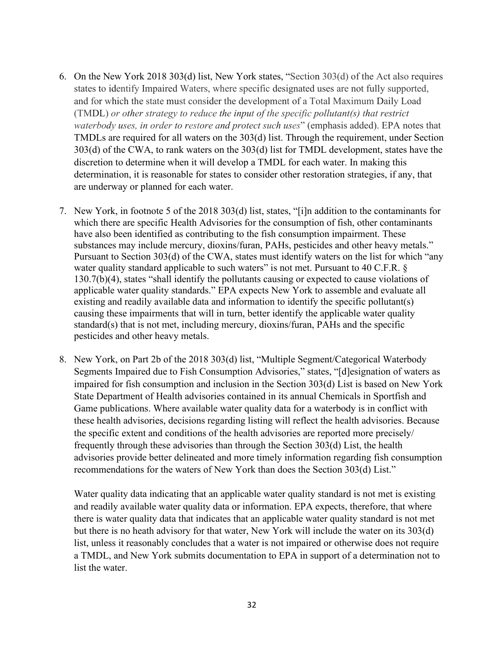- 6. On the New York 2018 303(d) list, New York states, "Section 303(d) of the Act also requires states to identify Impaired Waters, where specific designated uses are not fully supported, and for which the state must consider the development of a Total Maximum Daily Load (TMDL) *or other strategy to reduce the input of the specific pollutant(s) that restrict waterbody uses, in order to restore and protect such uses*" (emphasis added). EPA notes that TMDLs are required for all waters on the 303(d) list. Through the requirement, under Section 303(d) of the CWA, to rank waters on the 303(d) list for TMDL development, states have the discretion to determine when it will develop a TMDL for each water. In making this determination, it is reasonable for states to consider other restoration strategies, if any, that are underway or planned for each water.
- 7. New York, in footnote 5 of the 2018 303(d) list, states, "[i]n addition to the contaminants for which there are specific Health Advisories for the consumption of fish, other contaminants have also been identified as contributing to the fish consumption impairment. These substances may include mercury, dioxins/furan, PAHs, pesticides and other heavy metals." Pursuant to Section 303(d) of the CWA, states must identify waters on the list for which "any water quality standard applicable to such waters" is not met. Pursuant to 40 C.F.R. § 130.7(b)(4), states "shall identify the pollutants causing or expected to cause violations of applicable water quality standards." EPA expects New York to assemble and evaluate all existing and readily available data and information to identify the specific pollutant(s) causing these impairments that will in turn, better identify the applicable water quality standard(s) that is not met, including mercury, dioxins/furan, PAHs and the specific pesticides and other heavy metals.
- 8. New York, on Part 2b of the 2018 303(d) list, "Multiple Segment/Categorical Waterbody Segments Impaired due to Fish Consumption Advisories," states, "[d]esignation of waters as impaired for fish consumption and inclusion in the Section 303(d) List is based on New York State Department of Health advisories contained in its annual Chemicals in Sportfish and Game publications. Where available water quality data for a waterbody is in conflict with these health advisories, decisions regarding listing will reflect the health advisories. Because the specific extent and conditions of the health advisories are reported more precisely/ frequently through these advisories than through the Section 303(d) List, the health advisories provide better delineated and more timely information regarding fish consumption recommendations for the waters of New York than does the Section 303(d) List."

Water quality data indicating that an applicable water quality standard is not met is existing and readily available water quality data or information. EPA expects, therefore, that where there is water quality data that indicates that an applicable water quality standard is not met but there is no heath advisory for that water, New York will include the water on its 303(d) list, unless it reasonably concludes that a water is not impaired or otherwise does not require a TMDL, and New York submits documentation to EPA in support of a determination not to list the water.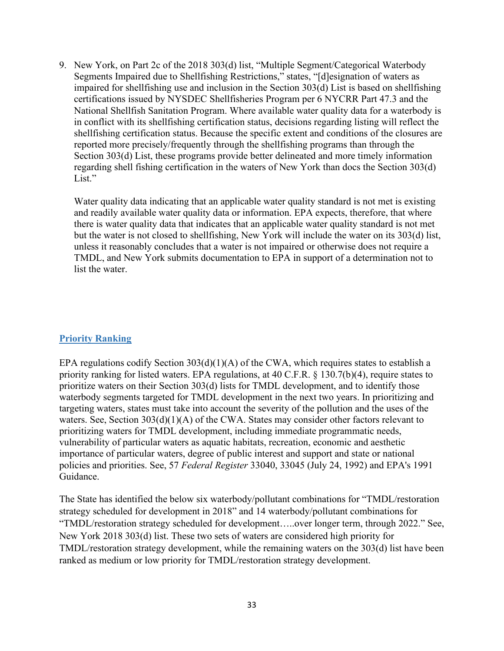9. New York, on Part 2c of the 2018 303(d) list, "Multiple Segment/Categorical Waterbody Segments Impaired due to Shellfishing Restrictions," states, "[d]esignation of waters as impaired for shellfishing use and inclusion in the Section 303(d) List is based on shellfishing certifications issued by NYSDEC Shellfisheries Program per 6 NYCRR Part 47.3 and the National Shellfish Sanitation Program. Where available water quality data for a waterbody is in conflict with its shellfishing certification status, decisions regarding listing will reflect the shellfishing certification status. Because the specific extent and conditions of the closures are reported more precisely/frequently through the shellfishing programs than through the Section 303(d) List, these programs provide better delineated and more timely information regarding shell fishing certification in the waters of New York than docs the Section 303(d) List."

Water quality data indicating that an applicable water quality standard is not met is existing and readily available water quality data or information. EPA expects, therefore, that where there is water quality data that indicates that an applicable water quality standard is not met but the water is not closed to shellfishing, New York will include the water on its 303(d) list, unless it reasonably concludes that a water is not impaired or otherwise does not require a TMDL, and New York submits documentation to EPA in support of a determination not to list the water.

### **Priority Ranking**

EPA regulations codify Section  $303(d)(1)(A)$  of the CWA, which requires states to establish a priority ranking for listed waters. EPA regulations, at 40 C.F.R. § 130.7(b)(4), require states to prioritize waters on their Section 303(d) lists for TMDL development, and to identify those waterbody segments targeted for TMDL development in the next two years. In prioritizing and targeting waters, states must take into account the severity of the pollution and the uses of the waters. See, Section 303(d)(1)(A) of the CWA. States may consider other factors relevant to prioritizing waters for TMDL development, including immediate programmatic needs, vulnerability of particular waters as aquatic habitats, recreation, economic and aesthetic importance of particular waters, degree of public interest and support and state or national policies and priorities. See, 57 *Federal Register* 33040, 33045 (July 24, 1992) and EPA's 1991 Guidance.

The State has identified the below six waterbody/pollutant combinations for "TMDL/restoration strategy scheduled for development in 2018" and 14 waterbody/pollutant combinations for "TMDL/restoration strategy scheduled for development…..over longer term, through 2022." See, New York 2018 303(d) list. These two sets of waters are considered high priority for TMDL/restoration strategy development, while the remaining waters on the 303(d) list have been ranked as medium or low priority for TMDL/restoration strategy development.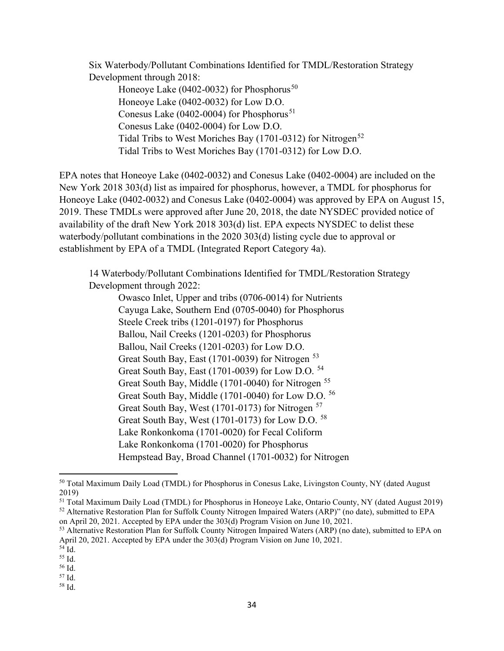Six Waterbody/Pollutant Combinations Identified for TMDL/Restoration Strategy Development through 2018:

Honeoye Lake (0402-0032) for Phosphorus<sup>[50](#page-35-0)</sup> Honeoye Lake (0402-0032) for Low D.O. Conesus Lake (0402-0004) for Phosphorus<sup>[51](#page-35-1)</sup> Conesus Lake (0402-0004) for Low D.O. Tidal Tribs to West Moriches Bay  $(1701-0312)$  for Nitrogen<sup>[52](#page-35-2)</sup> Tidal Tribs to West Moriches Bay (1701-0312) for Low D.O.

EPA notes that Honeoye Lake (0402-0032) and Conesus Lake (0402-0004) are included on the New York 2018 303(d) list as impaired for phosphorus, however, a TMDL for phosphorus for Honeoye Lake (0402-0032) and Conesus Lake (0402-0004) was approved by EPA on August 15, 2019. These TMDLs were approved after June 20, 2018, the date NYSDEC provided notice of availability of the draft New York 2018 303(d) list. EPA expects NYSDEC to delist these waterbody/pollutant combinations in the 2020 303(d) listing cycle due to approval or establishment by EPA of a TMDL (Integrated Report Category 4a).

14 Waterbody/Pollutant Combinations Identified for TMDL/Restoration Strategy Development through 2022:

Owasco Inlet, Upper and tribs (0706-0014) for Nutrients Cayuga Lake, Southern End (0705-0040) for Phosphorus Steele Creek tribs (1201-0197) for Phosphorus Ballou, Nail Creeks (1201-0203) for Phosphorus Ballou, Nail Creeks (1201-0203) for Low D.O. Great South Bay, East (1701-0039) for Nitrogen <sup>[53](#page-35-3)</sup> Great South Bay, East (1701-0039) for Low D.O. [54](#page-35-4) Great South Bay, Middle (1701-0040) for Nitrogen [55](#page-35-5) Great South Bay, Middle (1701-0040) for Low D.O. [56](#page-35-6) Great South Bay, West (1701-0173) for Nitrogen <sup>[57](#page-35-7)</sup> Great South Bay, West (1701-0173) for Low D.O. [58](#page-35-8) Lake Ronkonkoma (1701-0020) for Fecal Coliform Lake Ronkonkoma (1701-0020) for Phosphorus Hempstead Bay, Broad Channel (1701-0032) for Nitrogen

<span id="page-35-2"></span><span id="page-35-1"></span><sup>51</sup> Total Maximum Daily Load (TMDL) for Phosphorus in Honeoye Lake, Ontario County, NY (dated August 2019) <sup>52</sup> Alternative Restoration Plan for Suffolk County Nitrogen Impaired Waters (ARP)" (no date), submitted to EPA on April 20, 2021. Accepted by EPA under the 303(d) Program Vision on June 10, 2021.

<span id="page-35-0"></span><sup>&</sup>lt;sup>50</sup> Total Maximum Daily Load (TMDL) for Phosphorus in Conesus Lake, Livingston County, NY (dated August 2019)

<span id="page-35-3"></span><sup>53</sup> Alternative Restoration Plan for Suffolk County Nitrogen Impaired Waters (ARP) (no date), submitted to EPA on April 20, 2021. Accepted by EPA under the 303(d) Program Vision on June 10, 2021.

<span id="page-35-4"></span><sup>54</sup> Id.

<span id="page-35-5"></span><sup>55</sup> Id.

<span id="page-35-6"></span><sup>56</sup> Id. <sup>57</sup> Id.

<span id="page-35-8"></span><span id="page-35-7"></span><sup>58</sup> Id.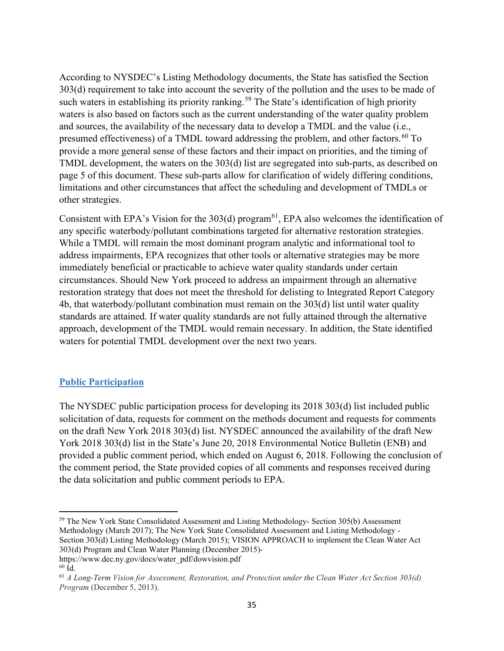According to NYSDEC's Listing Methodology documents, the State has satisfied the Section 303(d) requirement to take into account the severity of the pollution and the uses to be made of such waters in establishing its priority ranking.<sup>[59](#page-36-0)</sup> The State's identification of high priority waters is also based on factors such as the current understanding of the water quality problem and sources, the availability of the necessary data to develop a TMDL and the value (i.e., presumed effectiveness) of a TMDL toward addressing the problem, and other factors.<sup>[60](#page-36-1)</sup> To provide a more general sense of these factors and their impact on priorities, and the timing of TMDL development, the waters on the 303(d) list are segregated into sub-parts, as described on page 5 of this document. These sub-parts allow for clarification of widely differing conditions, limitations and other circumstances that affect the scheduling and development of TMDLs or other strategies.

Consistent with EPA's Vision for the  $303(d)$  program<sup>[61](#page-36-2)</sup>, EPA also welcomes the identification of any specific waterbody/pollutant combinations targeted for alternative restoration strategies. While a TMDL will remain the most dominant program analytic and informational tool to address impairments, EPA recognizes that other tools or alternative strategies may be more immediately beneficial or practicable to achieve water quality standards under certain circumstances. Should New York proceed to address an impairment through an alternative restoration strategy that does not meet the threshold for delisting to Integrated Report Category 4b, that waterbody/pollutant combination must remain on the 303(d) list until water quality standards are attained. If water quality standards are not fully attained through the alternative approach, development of the TMDL would remain necessary. In addition, the State identified waters for potential TMDL development over the next two years.

### **Public Participation**

The NYSDEC public participation process for developing its 2018 303(d) list included public solicitation of data, requests for comment on the methods document and requests for comments on the draft New York 2018 303(d) list. NYSDEC announced the availability of the draft New York 2018 303(d) list in the State's June 20, 2018 Environmental Notice Bulletin (ENB) and provided a public comment period, which ended on August 6, 2018. Following the conclusion of the comment period, the State provided copies of all comments and responses received during the data solicitation and public comment periods to EPA.

<span id="page-36-0"></span><sup>&</sup>lt;sup>59</sup> The New York State Consolidated Assessment and Listing Methodology- Section 305(b) Assessment Methodology (March 2017); The New York State Consolidated Assessment and Listing Methodology - Section 303(d) Listing Methodology (March 2015); VISION APPROACH to implement the Clean Water Act 303(d) Program and Clean Water Planning (December 2015)-

<span id="page-36-1"></span>https://www.dec.ny.gov/docs/water\_pdf/dowvision.pdf <sup>60</sup> Id.

<span id="page-36-2"></span><sup>61</sup> *A Long-Term Vision for Assessment, Restoration, and Protection under the Clean Water Act Section 303(d) Program* (December 5, 2013).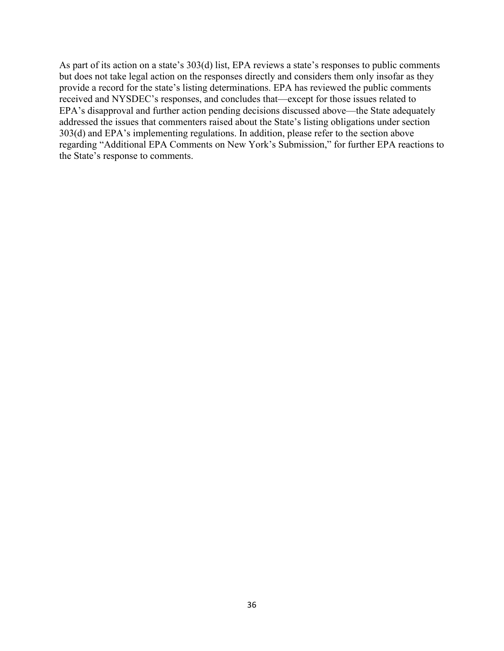As part of its action on a state's 303(d) list, EPA reviews a state's responses to public comments but does not take legal action on the responses directly and considers them only insofar as they provide a record for the state's listing determinations. EPA has reviewed the public comments received and NYSDEC's responses, and concludes that—except for those issues related to EPA's disapproval and further action pending decisions discussed above—the State adequately addressed the issues that commenters raised about the State's listing obligations under section 303(d) and EPA's implementing regulations. In addition, please refer to the section above regarding "Additional EPA Comments on New York's Submission," for further EPA reactions to the State's response to comments.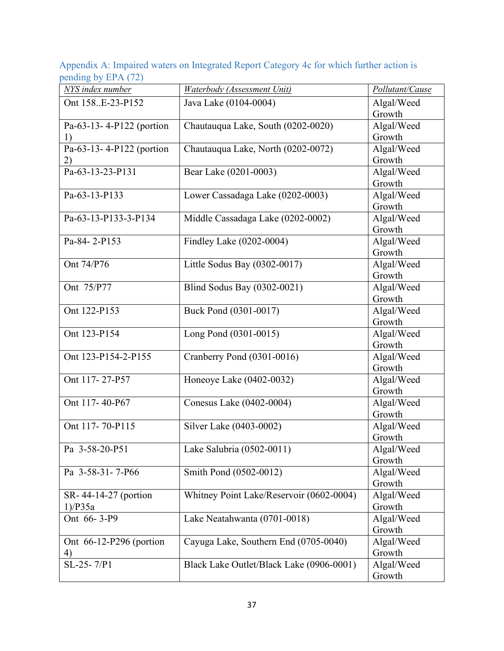<span id="page-38-0"></span>Appendix A: Impaired waters on Integrated Report Category 4c for which further action is pending by  $EPA(72)$ 

| NYS index number         | Waterbody (Assessment Unit)              | Pollutant/Cause |
|--------------------------|------------------------------------------|-----------------|
| Ont 158E-23-P152         | Java Lake (0104-0004)                    | Algal/Weed      |
|                          |                                          | Growth          |
| Pa-63-13-4-P122 (portion | Chautauqua Lake, South (0202-0020)       | Algal/Weed      |
| 1)                       |                                          | Growth          |
| Pa-63-13-4-P122 (portion | Chautauqua Lake, North (0202-0072)       | Algal/Weed      |
| 2)                       |                                          | Growth          |
| Pa-63-13-23-P131         | Bear Lake (0201-0003)                    | Algal/Weed      |
|                          |                                          | Growth          |
| Pa-63-13-P133            | Lower Cassadaga Lake (0202-0003)         | Algal/Weed      |
|                          |                                          | Growth          |
| Pa-63-13-P133-3-P134     | Middle Cassadaga Lake (0202-0002)        | Algal/Weed      |
|                          |                                          | Growth          |
| Pa-84-2-P153             | Findley Lake (0202-0004)                 | Algal/Weed      |
|                          |                                          | Growth          |
| Ont 74/P76               | Little Sodus Bay (0302-0017)             | Algal/Weed      |
|                          |                                          | Growth          |
| Ont 75/P77               | Blind Sodus Bay (0302-0021)              | Algal/Weed      |
|                          |                                          | Growth          |
| Ont 122-P153             | Buck Pond (0301-0017)                    | Algal/Weed      |
|                          |                                          | Growth          |
| Ont 123-P154             | Long Pond (0301-0015)                    | Algal/Weed      |
|                          |                                          | Growth          |
| Ont 123-P154-2-P155      | Cranberry Pond (0301-0016)               | Algal/Weed      |
|                          |                                          | Growth          |
| Ont 117-27-P57           | Honeoye Lake (0402-0032)                 | Algal/Weed      |
|                          |                                          | Growth          |
| Ont 117-40-P67           | Conesus Lake (0402-0004)                 | Algal/Weed      |
|                          |                                          | Growth          |
| Ont 117-70-P115          | Silver Lake (0403-0002)                  | Algal/Weed      |
|                          |                                          | Growth          |
| Pa 3-58-20-P51           | Lake Salubria (0502-0011)                | Algal/Weed      |
|                          |                                          | Growth          |
| Pa 3-58-31-7-P66         | Smith Pond (0502-0012)                   | Algal/Weed      |
|                          |                                          | Growth          |
| SR-44-14-27 (portion     | Whitney Point Lake/Reservoir (0602-0004) | Algal/Weed      |
| $1)$ /P $35a$            |                                          | Growth          |
| Ont 66-3-P9              | Lake Neatahwanta (0701-0018)             | Algal/Weed      |
|                          |                                          | Growth          |
| Ont 66-12-P296 (portion  | Cayuga Lake, Southern End (0705-0040)    | Algal/Weed      |
| 4)                       |                                          | Growth          |
| SL-25-7/P1               | Black Lake Outlet/Black Lake (0906-0001) | Algal/Weed      |
|                          |                                          | Growth          |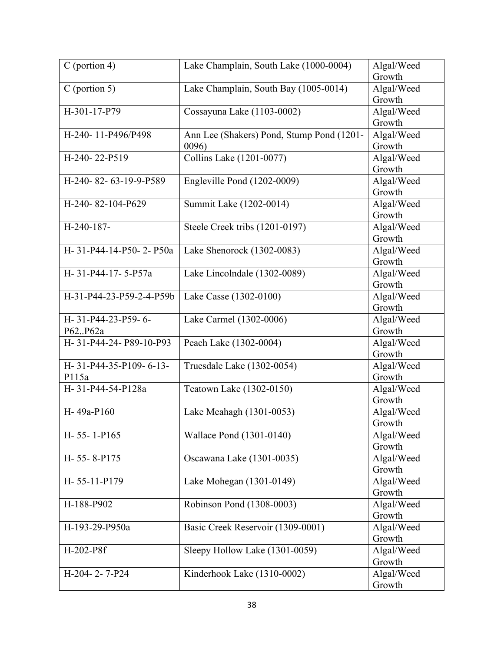| $C$ (portion 4)          | Lake Champlain, South Lake (1000-0004)    | Algal/Weed |
|--------------------------|-------------------------------------------|------------|
|                          |                                           | Growth     |
| $C$ (portion 5)          | Lake Champlain, South Bay (1005-0014)     | Algal/Weed |
|                          |                                           | Growth     |
| H-301-17-P79             | Cossayuna Lake (1103-0002)                | Algal/Weed |
|                          |                                           | Growth     |
| H-240-11-P496/P498       | Ann Lee (Shakers) Pond, Stump Pond (1201- | Algal/Weed |
|                          | 0096)                                     | Growth     |
| H-240-22-P519            | Collins Lake (1201-0077)                  | Algal/Weed |
|                          |                                           | Growth     |
| H-240-82-63-19-9-P589    | Engleville Pond (1202-0009)               | Algal/Weed |
|                          |                                           | Growth     |
| H-240-82-104-P629        | Summit Lake (1202-0014)                   | Algal/Weed |
|                          |                                           | Growth     |
| H-240-187-               | Steele Creek tribs (1201-0197)            | Algal/Weed |
|                          |                                           | Growth     |
| H-31-P44-14-P50-2-P50a   | Lake Shenorock (1302-0083)                | Algal/Weed |
|                          |                                           | Growth     |
| H-31-P44-17-5-P57a       | Lake Lincolndale (1302-0089)              | Algal/Weed |
|                          |                                           | Growth     |
| H-31-P44-23-P59-2-4-P59b | Lake Casse (1302-0100)                    | Algal/Weed |
|                          |                                           | Growth     |
| H-31-P44-23-P59-6-       | Lake Carmel (1302-0006)                   | Algal/Weed |
| P62P62a                  |                                           | Growth     |
| H-31-P44-24-P89-10-P93   | Peach Lake (1302-0004)                    | Algal/Weed |
|                          |                                           | Growth     |
| H-31-P44-35-P109-6-13-   | Truesdale Lake (1302-0054)                | Algal/Weed |
| P115a                    |                                           | Growth     |
| H-31-P44-54-P128a        | Teatown Lake (1302-0150)                  | Algal/Weed |
|                          |                                           | Growth     |
| H-49a-P160               | Lake Meahagh (1301-0053)                  | Algal/Weed |
|                          |                                           | Growth     |
| $H-55-1-P165$            | Wallace Pond (1301-0140)                  | Algal/Weed |
|                          |                                           | Growth     |
| H-55-8-P175              | Oscawana Lake (1301-0035)                 | Algal/Weed |
|                          |                                           | Growth     |
| H-55-11-P179             | Lake Mohegan (1301-0149)                  | Algal/Weed |
|                          |                                           | Growth     |
| H-188-P902               | Robinson Pond (1308-0003)                 | Algal/Weed |
|                          |                                           | Growth     |
| H-193-29-P950a           | Basic Creek Reservoir (1309-0001)         | Algal/Weed |
|                          |                                           | Growth     |
| H-202-P8f                | Sleepy Hollow Lake (1301-0059)            | Algal/Weed |
|                          |                                           | Growth     |
| H-204-2-7-P24            | Kinderhook Lake (1310-0002)               | Algal/Weed |
|                          |                                           | Growth     |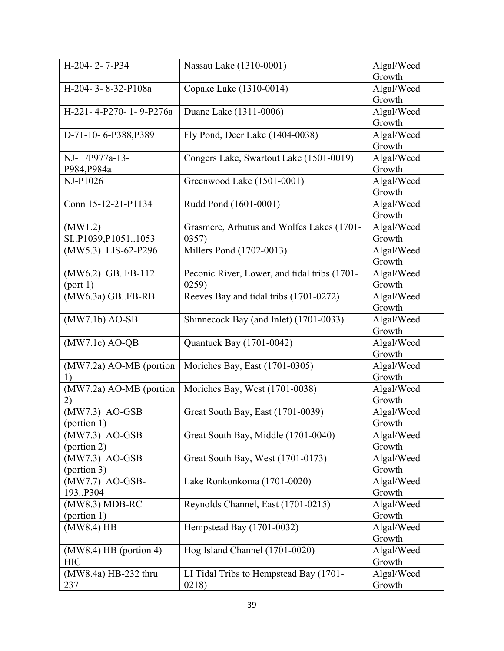| H-204-2-7-P34             | Nassau Lake (1310-0001)                      | Algal/Weed |
|---------------------------|----------------------------------------------|------------|
|                           |                                              | Growth     |
| H-204-3-8-32-P108a        | Copake Lake (1310-0014)                      | Algal/Weed |
|                           |                                              | Growth     |
| H-221-4-P270-1-9-P276a    | Duane Lake (1311-0006)                       | Algal/Weed |
|                           |                                              | Growth     |
| D-71-10-6-P388, P389      | Fly Pond, Deer Lake (1404-0038)              | Algal/Weed |
|                           |                                              | Growth     |
| NJ-1/P977a-13-            | Congers Lake, Swartout Lake (1501-0019)      | Algal/Weed |
| P984, P984a               |                                              | Growth     |
| NJ-P1026                  | Greenwood Lake (1501-0001)                   | Algal/Weed |
|                           |                                              | Growth     |
| Conn 15-12-21-P1134       | Rudd Pond (1601-0001)                        | Algal/Weed |
|                           |                                              | Growth     |
| (MW1.2)                   | Grasmere, Arbutus and Wolfes Lakes (1701-    | Algal/Weed |
| SI.P1039, P1051.1053      | 0357)                                        | Growth     |
| (MW5.3) LIS-62-P296       | Millers Pond (1702-0013)                     | Algal/Weed |
|                           |                                              | Growth     |
| (MW6.2) GB.FB-112         | Peconic River, Lower, and tidal tribs (1701- | Algal/Weed |
| (port 1)                  | 0259                                         | Growth     |
| $(MW6.3a)$ GBFB-RB        | Reeves Bay and tidal tribs (1701-0272)       | Algal/Weed |
|                           |                                              | Growth     |
| $(MW7.1b)$ AO-SB          | Shinnecock Bay (and Inlet) (1701-0033)       | Algal/Weed |
|                           |                                              | Growth     |
| $(MW7.1c)$ AO-QB          | Quantuck Bay (1701-0042)                     | Algal/Weed |
|                           |                                              | Growth     |
| $(MW7.2a)$ AO-MB (portion | Moriches Bay, East (1701-0305)               | Algal/Weed |
| 1)                        |                                              | Growth     |
| (MW7.2a) AO-MB (portion   | Moriches Bay, West (1701-0038)               | Algal/Weed |
| 2)                        |                                              | Growth     |
| (MW7.3) AO-GSB            | Great South Bay, East (1701-0039)            | Algal/Weed |
| (portion 1)               |                                              | Growth     |
| $(MW7.3)$ AO-GSB          | Great South Bay, Middle (1701-0040)          | Algal/Weed |
| (portion 2)               |                                              | Growth     |
| (MW7.3) AO-GSB            | Great South Bay, West (1701-0173)            | Algal/Weed |
| (portion 3)               |                                              | Growth     |
| (MW7.7) AO-GSB-           | Lake Ronkonkoma (1701-0020)                  | Algal/Weed |
| 193.P304                  |                                              | Growth     |
| $(MW8.3) MDB-RC$          | Reynolds Channel, East (1701-0215)           | Algal/Weed |
| (portion 1)               |                                              | Growth     |
| $(MW8.4)$ HB              | Hempstead Bay (1701-0032)                    | Algal/Weed |
|                           |                                              | Growth     |
| $(MW8.4)$ HB (portion 4)  | Hog Island Channel (1701-0020)               | Algal/Weed |
| <b>HIC</b>                |                                              | Growth     |
| (MW8.4a) HB-232 thru      | LI Tidal Tribs to Hempstead Bay (1701-       | Algal/Weed |
| 237                       | 0218)                                        | Growth     |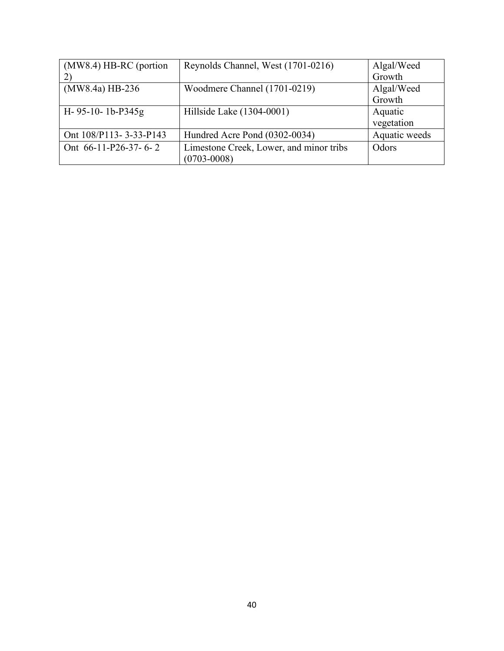| (MW8.4) HB-RC (portion | Reynolds Channel, West (1701-0216)      | Algal/Weed    |
|------------------------|-----------------------------------------|---------------|
| $\left( 2\right)$      |                                         | Growth        |
| (MW8.4a) HB-236        | Woodmere Channel (1701-0219)            | Algal/Weed    |
|                        |                                         | Growth        |
| $H-95-10-1b-P345g$     | Hillside Lake (1304-0001)               | Aquatic       |
|                        |                                         | vegetation    |
| Ont 108/P113-3-33-P143 | Hundred Acre Pond (0302-0034)           | Aquatic weeds |
| Ont $66-11-P26-37-6-2$ | Limestone Creek, Lower, and minor tribs | Odors         |
|                        | $(0703 - 0008)$                         |               |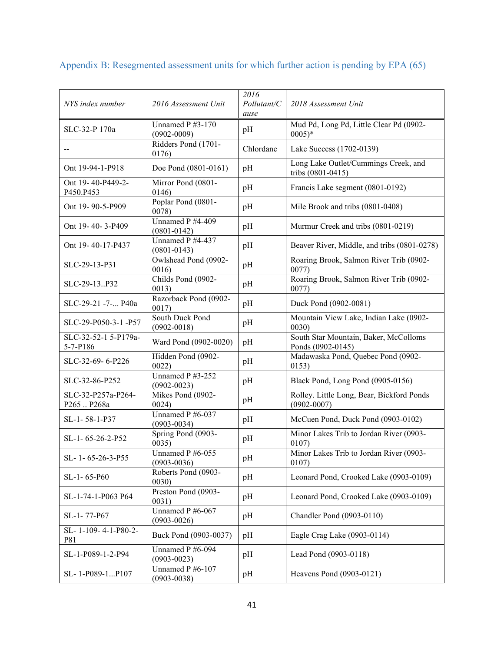| NYS index number                  | 2016 Assessment Unit                | 2016<br>Pollutant/C<br>ause | 2018 Assessment Unit                                         |
|-----------------------------------|-------------------------------------|-----------------------------|--------------------------------------------------------------|
| SLC-32-P 170a                     | Unnamed P #3-170<br>$(0902 - 0009)$ | pH                          | Mud Pd, Long Pd, Little Clear Pd (0902-<br>$0005)*$          |
| $-$                               | Ridders Pond (1701-<br>0176)        | Chlordane                   | Lake Success (1702-0139)                                     |
| Ont 19-94-1-P918                  | Doe Pond (0801-0161)                | pH                          | Long Lake Outlet/Cummings Creek, and<br>tribs (0801-0415)    |
| Ont 19-40-P449-2-<br>P450.P453    | Mirror Pond (0801-<br>0146)         | pH                          | Francis Lake segment (0801-0192)                             |
| Ont 19-90-5-P909                  | Poplar Pond (0801-<br>0078          | pH                          | Mile Brook and tribs (0801-0408)                             |
| Ont 19-40-3-P409                  | Unnamed P #4-409<br>$(0801 - 0142)$ | pH                          | Murmur Creek and tribs (0801-0219)                           |
| Ont 19-40-17-P437                 | Unnamed P #4-437<br>$(0801 - 0143)$ | pH                          | Beaver River, Middle, and tribs (0801-0278)                  |
| SLC-29-13-P31                     | Owlshead Pond (0902-<br>0016        | pH                          | Roaring Brook, Salmon River Trib (0902-<br>0077)             |
| SLC-29-13P32                      | Childs Pond (0902-<br>0013)         | pH                          | Roaring Brook, Salmon River Trib (0902-<br>0077)             |
| SLC-29-21 -7- P40a                | Razorback Pond (0902-<br>0017       | pH                          | Duck Pond (0902-0081)                                        |
| SLC-29-P050-3-1-P57               | South Duck Pond<br>$(0902 - 0018)$  | pH                          | Mountain View Lake, Indian Lake (0902-<br>0030)              |
| SLC-32-52-1 5-P179a-<br>5-7-P186  | Ward Pond (0902-0020)               | pH                          | South Star Mountain, Baker, McColloms<br>Ponds (0902-0145)   |
| SLC-32-69-6-P226                  | Hidden Pond (0902-<br>0022          | pH                          | Madawaska Pond, Quebec Pond (0902-<br>0153)                  |
| SLC-32-86-P252                    | Unnamed P #3-252<br>$(0902 - 0023)$ | pH                          | Black Pond, Long Pond (0905-0156)                            |
| SLC-32-P257a-P264-<br>P265  P268a | Mikes Pond (0902-<br>0024)          | pH                          | Rolley. Little Long, Bear, Bickford Ponds<br>$(0902 - 0007)$ |
| SL-1-58-1-P37                     | Unnamed P #6-037<br>$(0903 - 0034)$ | pH                          | McCuen Pond, Duck Pond (0903-0102)                           |
| SL-1-65-26-2-P52                  | Spring Pond (0903-<br>0035)         | pH                          | Minor Lakes Trib to Jordan River (0903-<br>0107              |
| SL-1-65-26-3-P55                  | Unnamed P #6-055<br>$(0903 - 0036)$ | pH                          | Minor Lakes Trib to Jordan River (0903-<br>0107)             |
| SL-1-65-P60                       | Roberts Pond (0903-<br>0030)        | pH                          | Leonard Pond, Crooked Lake (0903-0109)                       |
| SL-1-74-1-P063 P64                | Preston Pond (0903-<br>0031)        | pH                          | Leonard Pond, Crooked Lake (0903-0109)                       |
| SL-1-77-P67                       | Unnamed P #6-067<br>$(0903 - 0026)$ | pH                          | Chandler Pond (0903-0110)                                    |
| SL-1-109-4-1-P80-2-<br>P81        | Buck Pond (0903-0037)               | pH                          | Eagle Crag Lake (0903-0114)                                  |
| SL-1-P089-1-2-P94                 | Unnamed P #6-094<br>$(0903 - 0023)$ | pH                          | Lead Pond (0903-0118)                                        |
| SL-1-P089-1P107                   | Unnamed P #6-107<br>$(0903 - 0038)$ | pH                          | Heavens Pond (0903-0121)                                     |

# <span id="page-42-0"></span>Appendix B: Resegmented assessment units for which further action is pending by EPA (65)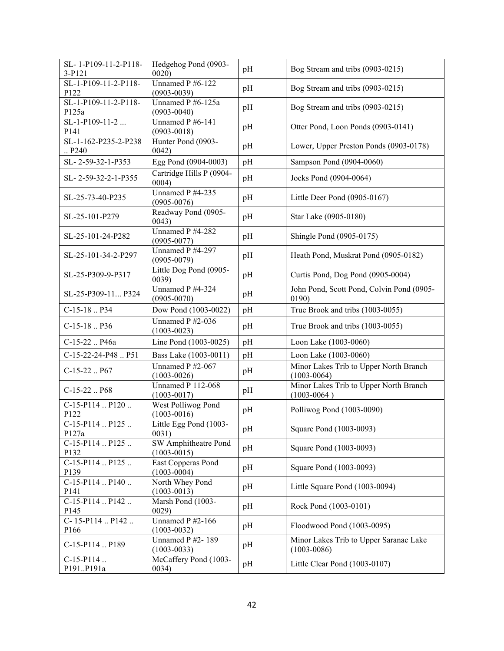| SL-1-P109-11-2-P118-<br>3-P121            | Hedgehog Pond (0903-<br>0020                | pH | Bog Stream and tribs (0903-0215)                          |
|-------------------------------------------|---------------------------------------------|----|-----------------------------------------------------------|
| SL-1-P109-11-2-P118-<br>P122              | Unnamed P #6-122<br>$(0903 - 0039)$         | pH | Bog Stream and tribs (0903-0215)                          |
| SL-1-P109-11-2-P118-<br>P125a             | Unnamed P #6-125a<br>$(0903 - 0040)$        | pH | Bog Stream and tribs (0903-0215)                          |
| $SL-1-P109-11-2$<br>P141                  | Unnamed P #6-141<br>$(0903 - 0018)$         | pH | Otter Pond, Loon Ponds (0903-0141)                        |
| SL-1-162-P235-2-P238<br>$\therefore$ P240 | Hunter Pond (0903-<br>0042)                 | pH | Lower, Upper Preston Ponds (0903-0178)                    |
| SL-2-59-32-1-P353                         | Egg Pond (0904-0003)                        | pH | Sampson Pond (0904-0060)                                  |
| SL-2-59-32-2-1-P355                       | Cartridge Hills P (0904-<br>0004)           | pH | Jocks Pond (0904-0064)                                    |
| SL-25-73-40-P235                          | Unnamed P #4-235<br>$(0905 - 0076)$         | pH | Little Deer Pond (0905-0167)                              |
| SL-25-101-P279                            | Readway Pond (0905-<br>0043)                | pH | Star Lake (0905-0180)                                     |
| SL-25-101-24-P282                         | Unnamed P #4-282<br>$(0905 - 0077)$         | pH | Shingle Pond (0905-0175)                                  |
| SL-25-101-34-2-P297                       | Unnamed P #4-297<br>$(0905 - 0079)$         | pH | Heath Pond, Muskrat Pond (0905-0182)                      |
| SL-25-P309-9-P317                         | Little Dog Pond (0905-<br>0039)             | pH | Curtis Pond, Dog Pond (0905-0004)                         |
| SL-25-P309-11 P324                        | Unnamed P #4-324<br>$(0905 - 0070)$         | pH | John Pond, Scott Pond, Colvin Pond (0905-<br>0190)        |
| $C-15-18$ P34                             | Dow Pond (1003-0022)                        | pH | True Brook and tribs (1003-0055)                          |
| $C-15-18$ P36                             | Unnamed P #2-036<br>$(1003 - 0023)$         | pH | True Brook and tribs (1003-0055)                          |
| C-15-22  P46a                             | Line Pond (1003-0025)                       | pH | Loon Lake (1003-0060)                                     |
| C-15-22-24-P48  P51                       | Bass Lake (1003-0011)                       | pH | Loon Lake (1003-0060)                                     |
| $C-15-22$ P67                             | Unnamed P #2-067<br>$(1003 - 0026)$         | pH | Minor Lakes Trib to Upper North Branch<br>$(1003 - 0064)$ |
| $C-15-22$ P68                             | <b>Unnamed P 112-068</b><br>$(1003 - 0017)$ | pH | Minor Lakes Trib to Upper North Branch<br>$(1003 - 0064)$ |
| C-15-P114  P120<br>P122                   | West Polliwog Pond<br>$(1003 - 0016)$       | pH | Polliwog Pond (1003-0090)                                 |
| $C-15-P114$ $P125$<br>P127a               | Little Egg Pond (1003-<br>0031)             | pH | Square Pond (1003-0093)                                   |
| C-15-P114  P125<br>P132                   | SW Amphitheatre Pond<br>$(1003 - 0015)$     | pH | Square Pond (1003-0093)                                   |
| $C-15-P114P125$<br>P139                   | East Copperas Pond<br>$(1003 - 0004)$       | pH | Square Pond (1003-0093)                                   |
| $C-15-P114$ $P140$<br>P141                | North Whey Pond<br>$(1003 - 0013)$          | pH | Little Square Pond (1003-0094)                            |
| C-15-P114  P142<br>P145                   | Marsh Pond (1003-<br>0029)                  | pH | Rock Pond (1003-0101)                                     |
| C-15-P114 $P142$<br>P166                  | Unnamed $P$ #2-166<br>$(1003 - 0032)$       | pH | Floodwood Pond (1003-0095)                                |
| C-15-P114  P189                           | Unnamed P #2-189<br>$(1003 - 0033)$         | pH | Minor Lakes Trib to Upper Saranac Lake<br>$(1003 - 0086)$ |
| $C-15-P114$<br>P191P191a                  | McCaffery Pond (1003-<br>0034)              | pH | Little Clear Pond (1003-0107)                             |